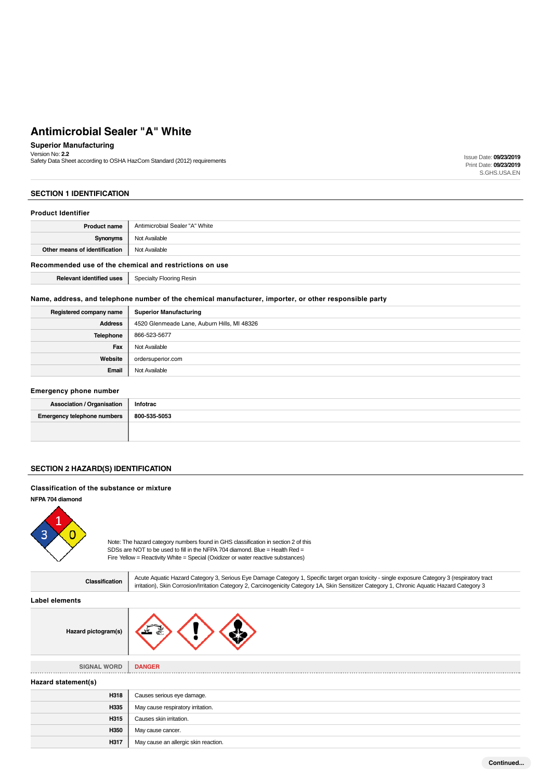#### **Superior Manufacturing** Version No: **2.2**

Version No: 2.2<br>Safety Data Sheet according to OSHA HazCom Standard (2012) requirements International Communication of Data Data Sheet Data Communication of Data Data Communication of Data Data Communication of Data Data C

Print Date: **09/23/2019** S.GHS.USA.EN

## **SECTION 1 IDENTIFICATION**

## **Product Identifier**

| <b>Product name</b>                                     | Antimicrobial Sealer "A" White |  |
|---------------------------------------------------------|--------------------------------|--|
| Synonyms                                                | Not Available                  |  |
| Other means of identification                           | Not Available                  |  |
| Recommended use of the chemical and restrictions on use |                                |  |
| Relevant identified uses<br>Specialty Flooring Resin    |                                |  |

## **Name, address, and telephone number of the chemical manufacturer, importer, or other responsible party**

| Registered company name | <b>Superior Manufacturing</b>               |  |
|-------------------------|---------------------------------------------|--|
| <b>Address</b>          | 4520 Glenmeade Lane, Auburn Hills, MI 48326 |  |
| Telephone               | 866-523-5677                                |  |
| Fax                     | Not Available                               |  |
| Website                 | ordersuperior.com                           |  |
| Email                   | Not Available                               |  |

## **Emergency phone number**

| __<br>.                            |              |
|------------------------------------|--------------|
| <b>Association / Organisation</b>  | Infotrac     |
| <b>Emergency telephone numbers</b> | 800-535-5053 |
|                                    |              |

## **SECTION 2 HAZARD(S) IDENTIFICATION**

#### **Classification of the substance or mixture**

## **NFPA 704 diamond**



Note: The hazard category numbers found in GHS classification in section 2 of this SDSs are NOT to be used to fill in the NFPA 704 diamond. Blue = Health Red = Fire Yellow = Reactivity White = Special (Oxidizer or water reactive substances)

| <b>Classification</b> | Acute Aquatic Hazard Category 3, Serious Eye Damage Category 1, Specific target organ toxicity - single exposure Category 3 (respiratory tract<br>irritation), Skin Corrosion/Irritation Category 2, Carcinogenicity Category 1A, Skin Sensitizer Category 1, Chronic Aquatic Hazard Category 3 |  |
|-----------------------|-------------------------------------------------------------------------------------------------------------------------------------------------------------------------------------------------------------------------------------------------------------------------------------------------|--|
| Label elements        |                                                                                                                                                                                                                                                                                                 |  |
| Hazard pictogram(s)   | $F^*$                                                                                                                                                                                                                                                                                           |  |

| <b>SIGNAL WORD</b>  | <b>DANGER</b>                        |  |
|---------------------|--------------------------------------|--|
| Hazard statement(s) |                                      |  |
| H318                | Causes serious eye damage.           |  |
| H335                | May cause respiratory irritation.    |  |
| H315                | Causes skin irritation.              |  |
| H350                | May cause cancer.                    |  |
| H317                | May cause an allergic skin reaction. |  |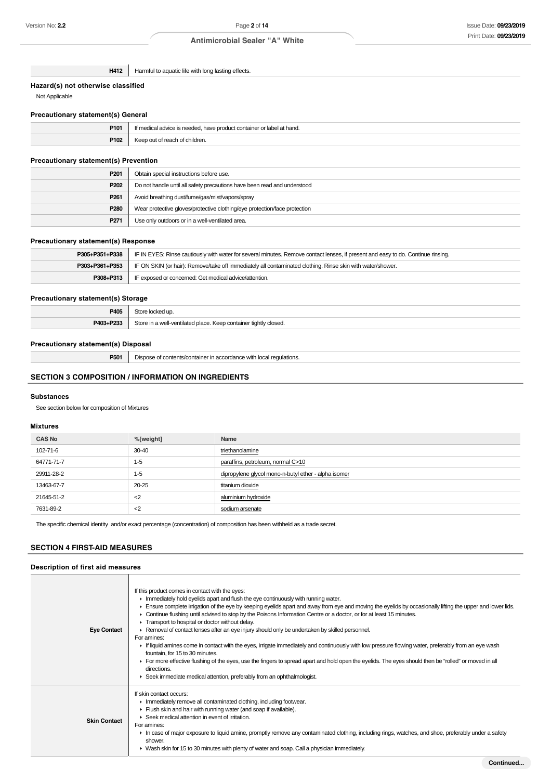**H412** Harmful to aquatic life with long lasting effects.

## **Hazard(s) not otherwise classified**

Not Applicable

## **Precautionary statement(s) General**

| P <sub>101</sub> | hand. |  |
|------------------|-------|--|
|                  | m     |  |
| P10              |       |  |

## **Precautionary statement(s) Prevention**

| P <sub>201</sub> | Obtain special instructions before use.                                   |
|------------------|---------------------------------------------------------------------------|
| P <sub>202</sub> | Do not handle until all safety precautions have been read and understood  |
| P <sub>261</sub> | Avoid breathing dust/fume/gas/mist/vapors/spray                           |
| P <sub>280</sub> | Wear protective gloves/protective clothing/eye protection/face protection |
| P <sub>271</sub> | Use only outdoors or in a well-ventilated area.                           |

## **Precautionary statement(s) Response**

| P305+P351+P338<br>IF IN EYES: Rinse cautiously with water for several minutes. Remove contact lenses, if present and easy to do. Continue rinsing. |                                                                                                            |  |
|----------------------------------------------------------------------------------------------------------------------------------------------------|------------------------------------------------------------------------------------------------------------|--|
| P303+P361+P353                                                                                                                                     | IF ON SKIN (or hair): Remove/take off immediately all contaminated clothing. Rinse skin with water/shower. |  |
| P308+P313                                                                                                                                          | IF exposed or concerned: Get medical advice/attention.                                                     |  |

## **Precautionary statement(s) Storage**

| <b>DAN5</b>        | $_{*}$                                                                       |  |
|--------------------|------------------------------------------------------------------------------|--|
| טד.                | au r                                                                         |  |
| <b>DAO2 . D222</b> | `tore<br>n a well-ventilated place.<br>. Keep container tigh<br>htly closea. |  |

## **Precautionary statement(s) Disposal**

|  | <b>P501</b> Dispose of contents/container in accordance with local regulations. |
|--|---------------------------------------------------------------------------------|
|--|---------------------------------------------------------------------------------|

#### **SECTION 3 COMPOSITION / INFORMATION ON INGREDIENTS**

#### **Substances**

See section below for composition of Mixtures

#### **Mixtures**

| <b>CAS No</b> | %[weight] | Name                                                 |
|---------------|-----------|------------------------------------------------------|
| 102-71-6      | $30 - 40$ | triethanolamine                                      |
| 64771-71-7    | $1 - 5$   | paraffins, petroleum, normal C>10                    |
| 29911-28-2    | $1 - 5$   | dipropylene glycol mono-n-butyl ether - alpha isomer |
| 13463-67-7    | 20-25     | titanium dioxide                                     |
| 21645-51-2    | $<$ 2     | aluminium hydroxide                                  |
| 7631-89-2     | $<$ 2     | sodium arsenate                                      |

The specific chemical identity and/or exact percentage (concentration) of composition has been withheld as a trade secret.

## **SECTION 4 FIRST-AID MEASURES**

## **Description of first aid measures**

Ì

| <b>Eye Contact</b>  | If this product comes in contact with the eyes:<br>Inmediately hold eyelids apart and flush the eye continuously with running water.<br>Ensure complete irrigation of the eye by keeping eyelids apart and away from eye and moving the eyelids by occasionally lifting the upper and lower lids.<br>► Continue flushing until advised to stop by the Poisons Information Centre or a doctor, or for at least 15 minutes.<br>Transport to hospital or doctor without delay.<br>▶ Removal of contact lenses after an eye injury should only be undertaken by skilled personnel.<br>For amines:<br>If liquid amines come in contact with the eyes, irrigate immediately and continuously with low pressure flowing water, preferably from an eye wash<br>fountain, for 15 to 30 minutes.<br>For more effective flushing of the eyes, use the fingers to spread apart and hold open the eyelids. The eyes should then be "rolled" or moved in all<br>directions.<br>► Seek immediate medical attention, preferably from an ophthalmologist. |
|---------------------|------------------------------------------------------------------------------------------------------------------------------------------------------------------------------------------------------------------------------------------------------------------------------------------------------------------------------------------------------------------------------------------------------------------------------------------------------------------------------------------------------------------------------------------------------------------------------------------------------------------------------------------------------------------------------------------------------------------------------------------------------------------------------------------------------------------------------------------------------------------------------------------------------------------------------------------------------------------------------------------------------------------------------------------|
| <b>Skin Contact</b> | If skin contact occurs:<br>Inmediately remove all contaminated clothing, including footwear.<br>Flush skin and hair with running water (and soap if available).<br>$\blacktriangleright$ Seek medical attention in event of irritation.<br>For amines:<br>In case of major exposure to liquid amine, promptly remove any contaminated clothing, including rings, watches, and shoe, preferably under a safety<br>shower.<br>► Wash skin for 15 to 30 minutes with plenty of water and soap. Call a physician immediately.                                                                                                                                                                                                                                                                                                                                                                                                                                                                                                                |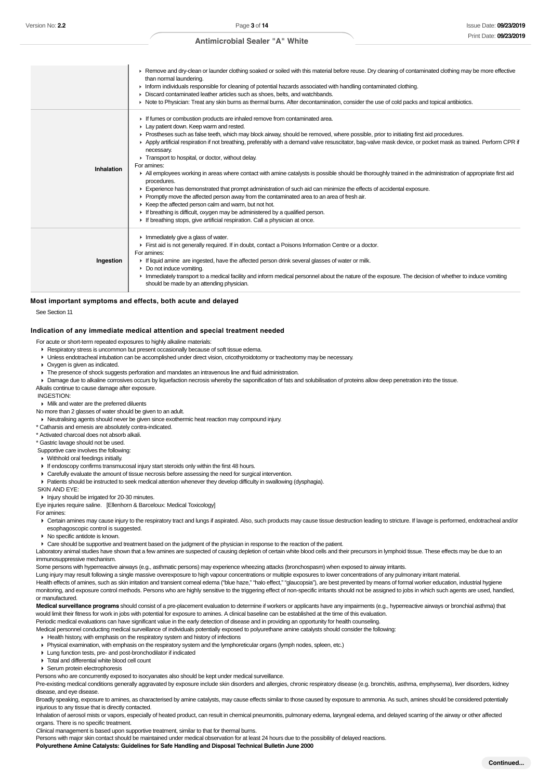|            | ► Remove and dry-clean or launder clothing soaked or soiled with this material before reuse. Dry cleaning of contaminated clothing may be more effective<br>than normal laundering.<br>Inform individuals responsible for cleaning of potential hazards associated with handling contaminated clothing.<br>Discard contaminated leather articles such as shoes, belts, and watchbands.<br>▶ Note to Physician: Treat any skin burns as thermal burns. After decontamination, consider the use of cold packs and topical antibiotics.                                                                                                                                                                                                                                                                                                                                                                                                                                                                                                                                                                                                         |
|------------|----------------------------------------------------------------------------------------------------------------------------------------------------------------------------------------------------------------------------------------------------------------------------------------------------------------------------------------------------------------------------------------------------------------------------------------------------------------------------------------------------------------------------------------------------------------------------------------------------------------------------------------------------------------------------------------------------------------------------------------------------------------------------------------------------------------------------------------------------------------------------------------------------------------------------------------------------------------------------------------------------------------------------------------------------------------------------------------------------------------------------------------------|
| Inhalation | If fumes or combustion products are inhaled remove from contaminated area.<br>Lay patient down. Keep warm and rested.<br>▶ Prostheses such as false teeth, which may block airway, should be removed, where possible, prior to initiating first aid procedures.<br>Apply artificial respiration if not breathing, preferably with a demand valve resuscitator, bag-valve mask device, or pocket mask as trained. Perform CPR if<br>necessary.<br>Transport to hospital, or doctor, without delay.<br>For amines:<br>In All employees working in areas where contact with amine catalysts is possible should be thoroughly trained in the administration of appropriate first aid<br>procedures.<br>Experience has demonstrated that prompt administration of such aid can minimize the effects of accidental exposure.<br>Promptly move the affected person away from the contaminated area to an area of fresh air.<br>► Keep the affected person calm and warm, but not hot.<br>If breathing is difficult, oxygen may be administered by a qualified person.<br>If breathing stops, give artificial respiration. Call a physician at once. |
| Ingestion  | $\blacktriangleright$ Immediately give a glass of water.<br>First aid is not generally required. If in doubt, contact a Poisons Information Centre or a doctor.<br>For amines:<br>If liquid amine are ingested, have the affected person drink several glasses of water or milk.<br>$\triangleright$ Do not induce vomiting.<br>Inmediately transport to a medical facility and inform medical personnel about the nature of the exposure. The decision of whether to induce vomiting<br>should be made by an attending physician.                                                                                                                                                                                                                                                                                                                                                                                                                                                                                                                                                                                                           |

#### **Most important symptoms and effects, both acute and delayed**

See Section 11

#### **Indication of any immediate medical attention and special treatment needed**

For acute or short-term repeated exposures to highly alkaline materials:

Respiratory stress is uncommon but present occasionally because of soft tissue edema.

Unless endotracheal intubation can be accomplished under direct vision, cricothyroidotomy or tracheotomy may be necessary.

- Oxygen is given as indicated.
- $\blacktriangleright$  The presence of shock suggests perforation and mandates an intravenous line and fluid administration.
- ▶ Damage due to alkaline corrosives occurs by liquefaction necrosis whereby the saponification of fats and solubilisation of proteins allow deep penetration into the tissue.

Alkalis continue to cause damage after exposure.

INGESTION:

Milk and water are the preferred diluents

- No more than 2 glasses of water should be given to an adult.
- Neutralising agents should never be given since exothermic heat reaction may compound injury.
- \* Catharsis and emesis are absolutely contra-indicated.

\* Activated charcoal does not absorb alkali.

#### \* Gastric lavage should not be used.

- Supportive care involves the following:
- Withhold oral feedings initially.
- If endoscopy confirms transmucosal injury start steroids only within the first 48 hours.
- Carefully evaluate the amount of tissue necrosis before assessing the need for surgical intervention.
- Patients should be instructed to seek medical attention whenever they develop difficulty in swallowing (dysphagia).

SKIN AND EYE:

Injury should be irrigated for 20-30 minutes.

Eye injuries require saline. [Ellenhorn & Barceloux: Medical Toxicology]

For amines:

- ▶ Certain amines may cause injury to the respiratory tract and lungs if aspirated. Also, such products may cause tissue destruction leading to stricture. If layage is performed, endotracheal and/or esophagoscopic control is suggested.
- No specific antidote is known.
- Care should be supportive and treatment based on the judgment of the physician in response to the reaction of the patient.

Laboratory animal studies have shown that a few amines are suspected of causing depletion of certain white blood cells and their precursors in lymphoid tissue. These effects may be due to an immunosuppressive mechanism.

Some persons with hyperreactive airways (e.g., asthmatic persons) may experience wheezing attacks (bronchospasm) when exposed to airway irritants.

Lung injury may result following a single massive overexposure to high vapour concentrations or multiple exposures to lower concentrations of any pulmonary irritant material.

Health effects of amines, such as skin irritation and transient corneal edema ("blue haze," "halo effect," "glaucopsia"), are best prevented by means of formal worker education, industrial hygiene monitoring, and exposure control methods. Persons who are highly sensitive to the triggering effect of non-specific irritants should not be assigned to jobs in which such agents are used, handled, or manufactured.

#### Medical surveillance programs should consist of a pre-placement evaluation to determine if workers or applicants have any impairments (e.g., hyperreactive airways or bronchial asthma) that would limit their fitness for work in jobs with potential for exposure to amines. A clinical baseline can be established at the time of this evaluation.

Periodic medical evaluations can have significant value in the early detection of disease and in providing an opportunity for health counseling.

Medical personnel conducting medical surveillance of individuals potentially exposed to polyurethane amine catalysts should consider the following:

- Health history, with emphasis on the respiratory system and history of infections
- Physical examination, with emphasis on the respiratory system and the lymphoreticular organs (lymph nodes, spleen, etc.)
- Lung function tests, pre- and post-bronchodilator if indicated
- Total and differential white blood cell count
- Serum protein electrophoresis
- Persons who are concurrently exposed to isocyanates also should be kept under medical surveillance.

Pre-existing medical conditions generally aggravated by exposure include skin disorders and allergies, chronic respiratory disease (e.g. bronchitis, asthma, emphysema), liver disorders, kidney disease, and eye disease.

Broadly speaking, exposure to amines, as characterised by amine catalysts, may cause effects similar to those caused by exposure to ammonia. As such, amines should be considered potentially injurious to any tissue that is directly contacted.

Inhalation of aerosol mists or vapors, especially of heated product, can result in chemical pneumonitis, pulmonary edema, laryngeal edema, and delayed scarring of the airway or other affected organs. There is no specific treatment.

Clinical management is based upon supportive treatment, similar to that for thermal burns.

Persons with major skin contact should be maintained under medical observation for at least 24 hours due to the possibility of delayed reactions.

**Polyurethene Amine Catalysts: Guidelines for Safe Handling and Disposal Technical Bulletin June 2000**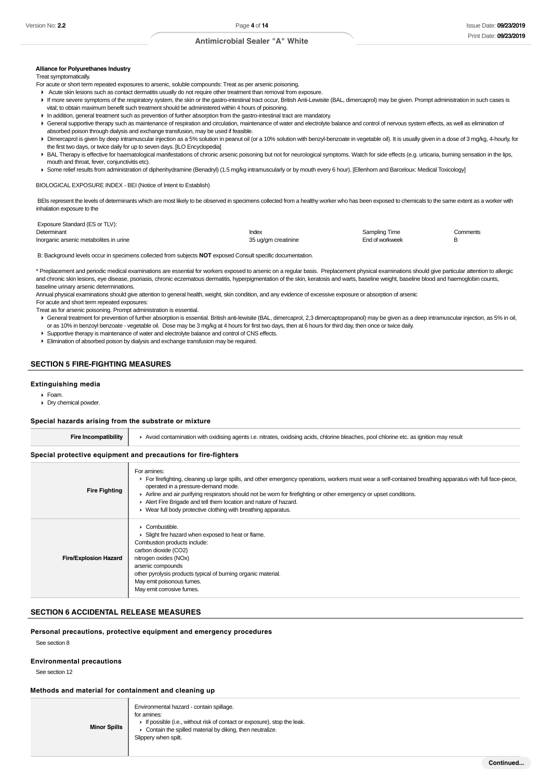#### **Alliance for Polyurethanes Industry**

Treat symptomatically.

- For acute or short term repeated exposures to arsenic, soluble compounds: Treat as per arsenic poisoning.
- Acute skin lesions such as contact dermatitis usually do not require other treatment than removal from exposure.
- If more severe symptoms of the respiratory system, the skin or the gastro-intestinal tract occur, British Anti-Lewisite (BAL, dimercaprol) may be given. Prompt administration in such cases is vital; to obtain maximum benefit such treatment should be administered within 4 hours of poisoning.
- In addition, general treatment such as prevention of further absorption from the gastro-intestinal tract are mandatory.
- ▶ General supportive therapy such as maintenance of respiration and circulation, maintenance of water and electrolyte balance and control of nervous system effects, as well as elimination of absorbed poison through dialysis and exchange transfusion, may be used if feasible.
- ▶ Dimercaprol is given by deep intramuscular injection as a 5% solution in peanut oil (or a 10% solution with benzyl-benzoate in vegetable oil). It is usually given in a dose of 3 mg/kg, 4-hourly, for the first two days, or twice daily for up to seven days. [ILO Encyclopedia]
- BAL Therapy is effective for haematological manifestations of chronic arsenic poisoning but not for neurological symptoms. Watch for side effects (e.g. urticaria, burning sensation in the lips, mouth and throat, fever, conjunctivitis etc).
- Some relief results from administration of diphenhydramine (Benadryl) (1.5 mg/kg intramuscularly or by mouth every 6 hour). [Ellenhorn and Barceloux: Medical Toxicology]

BIOLOGICAL EXPOSURE INDEX - BEI (Notice of Intent to Establish)

BEIs represent the levels of determinants which are most likely to be observed in specimens collected from a healthy worker who has been exposed to chemicals to the same extent as a worker with inhalation exposure to the

| Exposure Standard (ES or TLV):         |                     |                      |          |
|----------------------------------------|---------------------|----------------------|----------|
| Determinant                            | Index               | <b>Sampling Time</b> | Comments |
| Inorganic arsenic metabolites in urine | 35 ug/gm creatinine | End of workweek      |          |

B: Background levels occur in specimens collected from subjects **NOT** exposed Consult specific documentation.

\* Preplacement and periodic medical examinations are essential for workers exposed to arsenic on a regular basis. Preplacement physical examinations should give particular attention to allergic and chronic skin lesions, eye disease, psoriasis, chronic eczematous dermatitis, hyperpigmentation of the skin, keratosis and warts, baseline weight, baseline blood and haemoglobin counts, baseline urinary arsenic determinations.

Annual physical examinations should give attention to general health, weight, skin condition, and any evidence of excessive exposure or absorption of arsenic For acute and short term repeated exposures:

Treat as for arsenic poisoning. Prompt administration is essential.

- General treatment for prevention of further absorption is essential. British anti-lewisite (BAL, dimercaprol, 2,3 dimercaptopropanol) may be given as a deep intramuscular injection, as 5% in oil, or as 10% in benzoyl benzoate - vegetable oil. Dose may be 3 mg/kg at 4 hours for first two days, then at 6 hours for third day, then once or twice daily.
- ▶ Supportive therapy is maintenance of water and electrolyte balance and control of CNS effects.

Elimination of absorbed poison by dialysis and exchange transfusion may be required.

### **SECTION 5 FIRE-FIGHTING MEASURES**

#### **Extinguishing media**

#### Foam.

Dry chemical powder.

#### **Special hazards arising from the substrate or mixture**

| <b>Fire Incompatibility</b> | Avoid contamination with oxidising agents i.e. nitrates, oxidising acids, chlorine bleaches, pool chlorine etc. as ignition may result                                                                                                                                                                                                                                                                                                                                   |
|-----------------------------|--------------------------------------------------------------------------------------------------------------------------------------------------------------------------------------------------------------------------------------------------------------------------------------------------------------------------------------------------------------------------------------------------------------------------------------------------------------------------|
|                             | Special protective equipment and precautions for fire-fighters                                                                                                                                                                                                                                                                                                                                                                                                           |
| <b>Fire Fighting</b>        | For amines:<br>For firefighting, cleaning up large spills, and other emergency operations, workers must wear a self-contained breathing apparatus with full face-piece,<br>operated in a pressure-demand mode.<br>Airline and air purifying respirators should not be worn for firefighting or other emergency or upset conditions.<br>Alert Fire Brigade and tell them location and nature of hazard.<br>• Wear full body protective clothing with breathing apparatus. |
|                             | $\triangleright$ Combustible.<br>• Slight fire hazard when exposed to heat or flame.<br>Combustion products include:<br>carbon dioxide (CO2)                                                                                                                                                                                                                                                                                                                             |

**Fire/Explosion Hazard** nitrogen oxides (NOx) arsenic compounds other pyrolysis products typical of burning organic material. May emit poisonous fumes.

## **SECTION 6 ACCIDENTAL RELEASE MEASURES**

#### **Personal precautions, protective equipment and emergency procedures**

May emit corrosive fumes.

See section 8

#### **Environmental precautions**

See section 12

#### **Methods and material for containment and cleaning up**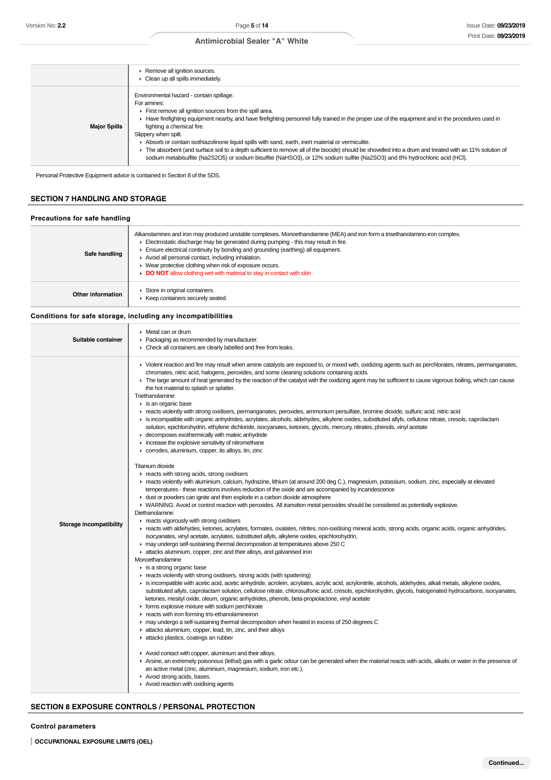|                     | Remove all ignition sources.<br>$\triangleright$ Clean up all spills immediately.                                                                                                                                                                                                                                                                                                                                                                                                                                                                                                                                                                                                                                          |
|---------------------|----------------------------------------------------------------------------------------------------------------------------------------------------------------------------------------------------------------------------------------------------------------------------------------------------------------------------------------------------------------------------------------------------------------------------------------------------------------------------------------------------------------------------------------------------------------------------------------------------------------------------------------------------------------------------------------------------------------------------|
| <b>Major Spills</b> | Environmental hazard - contain spillage.<br>For amines:<br>First remove all ignition sources from the spill area.<br>Have firefighting equipment nearby, and have firefighting personnel fully trained in the proper use of the equipment and in the procedures used in<br>fighting a chemical fire.<br>Slippery when spilt.<br>Absorb or contain isothiazolinone liquid spills with sand, earth, inert material or vermiculite.<br>The absorbent (and surface soil to a depth sufficient to remove all of the biocide) should be shovelled into a drum and treated with an 11% solution of<br>sodium metabisulfite (Na2S2O5) or sodium bisulfite (NaHSO3), or 12% sodium sulfite (Na2SO3) and 8% hydrochloric acid (HCI). |

Personal Protective Equipment advice is contained in Section 8 of the SDS.

## **SECTION 7 HANDLING AND STORAGE**

## **Precautions for safe handling**

| Safe handling     | Alkanolamines and iron may produced unstable complexes. Monoethanolamine (MEA) and iron form a trisethanolamino-iron complex.<br>Electrostatic discharge may be generated during pumping - this may result in fire.<br>Ensure electrical continuity by bonding and grounding (earthing) all equipment.<br>Avoid all personal contact, including inhalation.<br>▶ Wear protective clothing when risk of exposure occurs.<br>DO NOT allow clothing wet with material to stay in contact with skin |
|-------------------|-------------------------------------------------------------------------------------------------------------------------------------------------------------------------------------------------------------------------------------------------------------------------------------------------------------------------------------------------------------------------------------------------------------------------------------------------------------------------------------------------|
| Other information | Store in original containers.<br>Keep containers securely sealed.                                                                                                                                                                                                                                                                                                                                                                                                                               |

**Conditions for safe storage, including any incompatibilities**

| Suitable container             | • Metal can or drum<br>• Packaging as recommended by manufacturer.<br>• Check all containers are clearly labelled and free from leaks.                                                                                                                                                                                                                                                                                                                                                                                                                                                                                                                                                                                                                                                                                                                                                                                                                                                                                                                                                                                          |  |  |  |  |
|--------------------------------|---------------------------------------------------------------------------------------------------------------------------------------------------------------------------------------------------------------------------------------------------------------------------------------------------------------------------------------------------------------------------------------------------------------------------------------------------------------------------------------------------------------------------------------------------------------------------------------------------------------------------------------------------------------------------------------------------------------------------------------------------------------------------------------------------------------------------------------------------------------------------------------------------------------------------------------------------------------------------------------------------------------------------------------------------------------------------------------------------------------------------------|--|--|--|--|
|                                | ▶ Violent reaction and fire may result when amine catalysts are exposed to, or mixed with, oxidizing agents such as perchlorates, nitrates, permanganates,<br>chromates, nitric acid, halogens, peroxides, and some cleaning solutions containing acids.<br>• The large amount of heat generated by the reaction of the catalyst with the oxidizing agent may be sufficient to cause vigorous boiling, which can cause<br>the hot material to splash or splatter.<br>Triethanolamine:<br>$\blacktriangleright$ is an organic base<br>F reacts violently with strong oxidisers, permanganates, peroxides, ammonium persulfate, bromine dioxide, sulfuric acid, nitric acid<br>is incompatible with organic anhydrides, acrylates, alcohols, aldehydes, alkylene oxides, substituted allyls, cellulose nitrate, cresols, caprolactam<br>solution, epichlorohydrin, ethylene dichloride, isocyanates, ketones, glycols, mercury, nitrates, phenols, vinyl acetate<br>► decomposes exothermically with maleic anhydride<br>increase the explosive sensitivity of nitromethane<br>corrodes, aluminium, copper, its alloys, tin, zinc |  |  |  |  |
|                                | Titanium dioxide<br>reacts with strong acids, strong oxidisers<br>F reacts violently with aluminium, calcium, hydrazine, lithium (at around 200 deg C.), magnesium, potassium, sodium, zinc, especially at elevated<br>temperatures - these reactions involves reduction of the oxide and are accompanied by incandescence<br>► dust or powders can ignite and then explode in a carbon dioxide atmosphere<br>► WARNING: Avoid or control reaction with peroxides. All <i>transition metal</i> peroxides should be considered as potentially explosive.<br>Diethanolamine:                                                                                                                                                                                                                                                                                                                                                                                                                                                                                                                                                      |  |  |  |  |
| <b>Storage incompatibility</b> | $\blacktriangleright$ reacts vigorously with strong oxidisers<br>F reacts with aldehydes, ketones, acrylates, formates, oxalates, nitrites, non-oxidising mineral acids, strong acids, organic acids, organic anhydrides,<br>isocyanates, vinyl acetate, acrylates, substituted allyls, alkylene oxides, epichlorohydrin,<br>may undergo self-sustaining thermal decomposition at temperatures above 250 C<br>attacks aluminium, copper, zinc and their alloys, and galvanised iron<br>Monoethanolamine<br>$\blacktriangleright$ is a strong organic base                                                                                                                                                                                                                                                                                                                                                                                                                                                                                                                                                                       |  |  |  |  |
|                                | reacts violently with strong oxidisers, strong acids (with spattering)<br>is incompatible with acetic acid, acetic anhydride, acrolein, acrylates, acrylic acid, acrylonitrile, alcohols, aldehydes, alkali metals, alkylene oxides,<br>substituted allyls, caprolactam solution, cellulose nitrate, chlorosulfonic acid, cresols, epichlorohydrin, glycols, halogenated hydrocarbons, isocyanates,<br>ketones, mesityl oxide, oleum, organic anhydrides, phenols, beta-propiolactone, vinyl acetate<br>• forms explosive mixture with sodium perchlorate<br>reacts with iron forming tris-ethanolamineiron<br>► may undergo a self-sustaining thermal decomposition when heated in excess of 250 degrees C<br>attacks aluminium, copper, lead, tin, zinc, and their alloys<br>in attacks plastics, coatings an rubber                                                                                                                                                                                                                                                                                                          |  |  |  |  |
|                                | Avoid contact with copper, aluminium and their alloys.<br>Arsine, an extremely poisonous (lethal) gas with a garlic odour can be generated when the material reacts with acids, alkalis or water in the presence of<br>an active metal (zinc, aluminium, magnesium, sodium, iron etc.).<br>Avoid strong acids, bases.<br>Avoid reaction with oxidising agents                                                                                                                                                                                                                                                                                                                                                                                                                                                                                                                                                                                                                                                                                                                                                                   |  |  |  |  |

## **SECTION 8 EXPOSURE CONTROLS / PERSONAL PROTECTION**

## **Control parameters**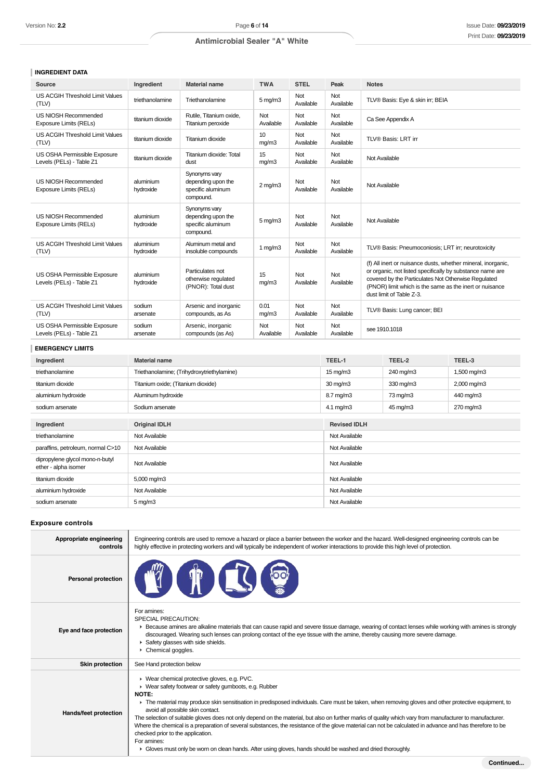## **INGREDIENT DATA**

| Source                                                   | Ingredient             | <b>Material name</b>                                                  | <b>TWA</b>          | <b>STEL</b>        | Peak                | <b>Notes</b> |                                                                                                                                                                                                                                                                         |             |  |
|----------------------------------------------------------|------------------------|-----------------------------------------------------------------------|---------------------|--------------------|---------------------|--------------|-------------------------------------------------------------------------------------------------------------------------------------------------------------------------------------------------------------------------------------------------------------------------|-------------|--|
| US ACGIH Threshold Limit Values<br>(TLV)                 | triethanolamine        | Triethanolamine                                                       | $5 \,\mathrm{mg/m}$ | Not<br>Available   | Not<br>Available    |              | TLV® Basis: Eye & skin irr; BEIA                                                                                                                                                                                                                                        |             |  |
| US NIOSH Recommended<br>Exposure Limits (RELs)           | titanium dioxide       | Rutile, Titanium oxide,<br>Titanium peroxide                          | Not<br>Available    | Not<br>Available   | Not<br>Available    |              | Ca See Appendix A                                                                                                                                                                                                                                                       |             |  |
| US ACGIH Threshold Limit Values<br>(TLV)                 | titanium dioxide       | Titanium dioxide                                                      | 10<br>mg/m3         | Not<br>Available   | Not<br>Available    |              | TLV® Basis: LRT irr                                                                                                                                                                                                                                                     |             |  |
| US OSHA Permissible Exposure<br>Levels (PELs) - Table Z1 | titanium dioxide       | Titanium dioxide: Total<br>dust                                       | 15<br>mq/m3         | Not<br>Available   | Not<br>Available    |              | Not Available                                                                                                                                                                                                                                                           |             |  |
| US NIOSH Recommended<br>Exposure Limits (RELs)           | aluminium<br>hydroxide | Synonyms vary<br>depending upon the<br>specific aluminum<br>compound. | $2$ mg/m $3$        | Not<br>Available   | Not<br>Available    |              | Not Available                                                                                                                                                                                                                                                           |             |  |
| US NIOSH Recommended<br><b>Exposure Limits (RELs)</b>    | aluminium<br>hydroxide | Synonyms vary<br>depending upon the<br>specific aluminum<br>compound. | $5 \,\mathrm{mg/m}$ | Not<br>Available   | Not<br>Available    |              | Not Available                                                                                                                                                                                                                                                           |             |  |
| US ACGIH Threshold Limit Values<br>(TLV)                 | aluminium<br>hydroxide | Aluminum metal and<br>insoluble compounds                             | 1 $mg/m3$           | Not<br>Available   | Not<br>Available    |              | TLV® Basis: Pneumoconiosis; LRT irr; neurotoxicity                                                                                                                                                                                                                      |             |  |
| US OSHA Permissible Exposure<br>Levels (PELs) - Table Z1 | aluminium<br>hydroxide | Particulates not<br>otherwise regulated<br>(PNOR): Total dust         | 15<br>mg/m3         | Not<br>Available   | Not<br>Available    |              | (f) All inert or nuisance dusts, whether mineral, inorganic,<br>or organic, not listed specifically by substance name are<br>covered by the Particulates Not Otherwise Regulated<br>(PNOR) limit which is the same as the inert or nuisance<br>dust limit of Table Z-3. |             |  |
| US ACGIH Threshold Limit Values<br>(TLV)                 | sodium<br>arsenate     | Arsenic and inorganic<br>compounds, as As                             | 0.01<br>mg/m3       | Not<br>Available   | Not<br>Available    |              | TLV® Basis: Lung cancer; BEI                                                                                                                                                                                                                                            |             |  |
| US OSHA Permissible Exposure<br>Levels (PELs) - Table Z1 | sodium<br>arsenate     | Arsenic, inorganic<br>compounds (as As)                               | Not<br>Available    | Not<br>Available   | Not<br>Available    |              | see 1910.1018                                                                                                                                                                                                                                                           |             |  |
| <b>EMERGENCY LIMITS</b>                                  |                        |                                                                       |                     |                    |                     |              |                                                                                                                                                                                                                                                                         |             |  |
| Ingredient                                               | <b>Material name</b>   |                                                                       |                     |                    | TEEL-1              |              | TEEL-2                                                                                                                                                                                                                                                                  | TEEL-3      |  |
| triethanolamine                                          |                        | Triethanolamine; (Trihydroxytriethylamine)                            |                     |                    | $15 \text{ mg/m}$   |              | 240 mg/m3                                                                                                                                                                                                                                                               | 1,500 mg/m3 |  |
| titanium dioxide                                         |                        | Titanium oxide; (Titanium dioxide)                                    |                     | 30 mg/m3           |                     | 330 mg/m3    | 2,000 mg/m3                                                                                                                                                                                                                                                             |             |  |
| aluminium hydroxide                                      | Aluminum hydroxide     |                                                                       |                     |                    | $8.7 \text{ mg/m}$  |              | 73 mg/m3                                                                                                                                                                                                                                                                | 440 mg/m3   |  |
| sodium arsenate                                          | Sodium arsenate        |                                                                       |                     | $4.1 \text{ mg/m}$ |                     | 45 mg/m3     | 270 mg/m3                                                                                                                                                                                                                                                               |             |  |
| Ingredient                                               | <b>Original IDLH</b>   |                                                                       |                     |                    | <b>Revised IDLH</b> |              |                                                                                                                                                                                                                                                                         |             |  |
| triethanolamine                                          |                        |                                                                       |                     |                    |                     |              |                                                                                                                                                                                                                                                                         |             |  |
|                                                          |                        | Not Available                                                         |                     |                    | Not Available       |              |                                                                                                                                                                                                                                                                         |             |  |
| paraffins, petroleum, normal C>10                        | Not Available          |                                                                       |                     |                    | Not Available       |              |                                                                                                                                                                                                                                                                         |             |  |
| dipropylene glycol mono-n-butyl<br>ether - alpha isomer  | Not Available          |                                                                       |                     |                    | Not Available       |              |                                                                                                                                                                                                                                                                         |             |  |
| titanium dioxide                                         | 5,000 mg/m3            |                                                                       |                     |                    | Not Available       |              |                                                                                                                                                                                                                                                                         |             |  |

## **Exposure controls**

| Appropriate engineering<br>controls | Engineering controls are used to remove a hazard or place a barrier between the worker and the hazard. Well-designed engineering controls can be<br>highly effective in protecting workers and will typically be independent of worker interactions to provide this high level of protection.                                                                                                                                                                                                                                                                                                                                                                                                                                                                                                          |
|-------------------------------------|--------------------------------------------------------------------------------------------------------------------------------------------------------------------------------------------------------------------------------------------------------------------------------------------------------------------------------------------------------------------------------------------------------------------------------------------------------------------------------------------------------------------------------------------------------------------------------------------------------------------------------------------------------------------------------------------------------------------------------------------------------------------------------------------------------|
| <b>Personal protection</b>          | T                                                                                                                                                                                                                                                                                                                                                                                                                                                                                                                                                                                                                                                                                                                                                                                                      |
| Eye and face protection             | For amines:<br>SPECIAL PRECAUTION:<br>Exercise amines are alkaline materials that can cause rapid and severe tissue damage, wearing of contact lenses while working with amines is strongly<br>discouraged. Wearing such lenses can prolong contact of the eye tissue with the amine, thereby causing more severe damage.<br>Safety glasses with side shields.<br>$\triangleright$ Chemical goggles.                                                                                                                                                                                                                                                                                                                                                                                                   |
| <b>Skin protection</b>              | See Hand protection below                                                                                                                                                                                                                                                                                                                                                                                                                                                                                                                                                                                                                                                                                                                                                                              |
| Hands/feet protection               | ▶ Wear chemical protective gloves, e.g. PVC.<br>▶ Wear safety footwear or safety gumboots, e.g. Rubber<br>NOTE:<br>The material may produce skin sensitisation in predisposed individuals. Care must be taken, when removing gloves and other protective equipment, to<br>avoid all possible skin contact.<br>The selection of suitable gloves does not only depend on the material, but also on further marks of quality which vary from manufacturer to manufacturer.<br>Where the chemical is a preparation of several substances, the resistance of the glove material can not be calculated in advance and has therefore to be<br>checked prior to the application.<br>For amines:<br>▶ Gloves must only be worn on clean hands. After using gloves, hands should be washed and dried thoroughly. |

aluminium hydroxide **Not Available** Not Available Not Available Not Available sodium arsenate 5 mg/m3 5 mg/m3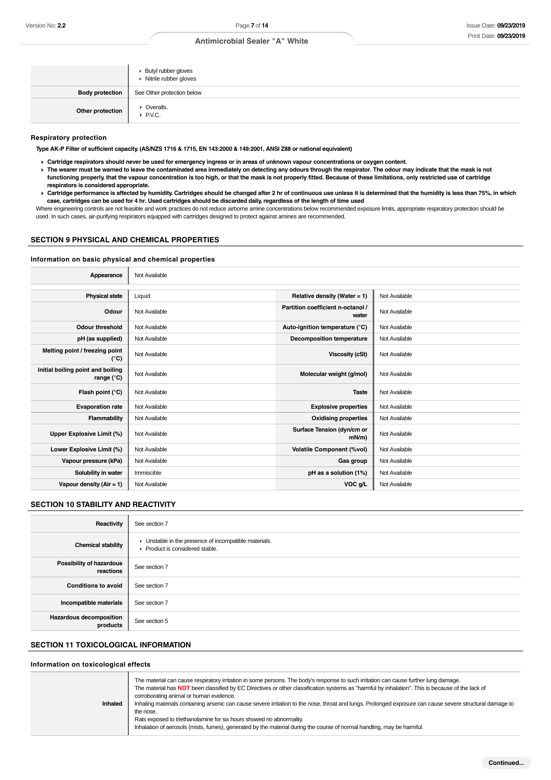|                        | ► Butyl rubber gloves<br>► Nitrile rubber gloves |
|------------------------|--------------------------------------------------|
| <b>Body protection</b> | See Other protection below                       |
| Other protection       | ▶ Overalls.<br>▶ P.V.C.                          |

#### **Respiratory protection**

**Type AK-P Filter of sufficient capacity. (AS/NZS 1716 & 1715, EN 143:2000 & 149:2001, ANSI Z88 or national equivalent)**

- **Cartridge respirators should never be used for emergency ingress or in areas of unknown vapour concentrations or oxygen content.**
- **The wearer must be warned to leave the contaminated area immediately on detecting any odours through the respirator. The odour may indicate that the mask is not functioning properly, that the vapour concentration is too high, or that the mask is not properly fitted. Because of these limitations, only restricted use of cartridge respirators is considered appropriate.**
- **Cartridge performance is affected by humidity. Cartridges should be changed after 2 hr of continuous use unless it is determined that the humidity is less than 75%, in which case, cartridges can be used for 4 hr. Used cartridges should be discarded daily, regardless of the length of time used**

Where engineering controls are not feasible and work practices do not reduce airborne amine concentrations below recommended exposure limits, appropriate respiratory protection should be used. In such cases, air-purifying respirators equipped with cartridges designed to protect against amines are recommended.

## **SECTION 9 PHYSICAL AND CHEMICAL PROPERTIES**

#### **Information on basic physical and chemical properties** T

| Appearance                                        | Not Available |                                            |               |
|---------------------------------------------------|---------------|--------------------------------------------|---------------|
|                                                   |               |                                            |               |
| <b>Physical state</b>                             | Liquid        | Relative density (Water = $1$ )            | Not Available |
| Odour                                             | Not Available | Partition coefficient n-octanol /<br>water | Not Available |
| <b>Odour threshold</b>                            | Not Available | Auto-ignition temperature (°C)             | Not Available |
| pH (as supplied)                                  | Not Available | <b>Decomposition temperature</b>           | Not Available |
| Melting point / freezing point<br>(°C)            | Not Available | Viscosity (cSt)                            | Not Available |
| Initial boiling point and boiling<br>range $(°C)$ | Not Available | Molecular weight (g/mol)                   | Not Available |
| Flash point $(°C)$                                | Not Available | <b>Taste</b>                               | Not Available |
| <b>Evaporation rate</b>                           | Not Available | <b>Explosive properties</b>                | Not Available |
| Flammability                                      | Not Available | <b>Oxidising properties</b>                | Not Available |
| Upper Explosive Limit (%)                         | Not Available | Surface Tension (dyn/cm or<br>$mN/m$ )     | Not Available |
| Lower Explosive Limit (%)                         | Not Available | <b>Volatile Component (%vol)</b>           | Not Available |
| Vapour pressure (kPa)                             | Not Available | Gas group                                  | Not Available |
| Solubility in water                               | Immiscible    | pH as a solution (1%)                      | Not Available |
| Vapour density $(Air = 1)$                        | Not Available | VOC g/L                                    | Not Available |

#### **SECTION 10 STABILITY AND REACTIVITY**

| Reactivity                                 | See section 7                                                                            |
|--------------------------------------------|------------------------------------------------------------------------------------------|
| <b>Chemical stability</b>                  | • Unstable in the presence of incompatible materials.<br>▶ Product is considered stable. |
| Possibility of hazardous<br>reactions      | See section 7                                                                            |
| <b>Conditions to avoid</b>                 | See section 7                                                                            |
| Incompatible materials                     | See section 7                                                                            |
| <b>Hazardous decomposition</b><br>products | See section 5                                                                            |

## **SECTION 11 TOXICOLOGICAL INFORMATION**

#### **Information on toxicological effects**

| <b>Inhaled</b> | The material can cause respiratory irritation in some persons. The body's response to such irritation can cause further lung damage.<br>The material has NOT been classified by EC Directives or other classification systems as "harmful by inhalation". This is because of the lack of<br>corroborating animal or human evidence.<br>Inhaling materials containing arsenic can cause severe irritation to the nose, throat and lungs. Prolonged exposure can cause severe structural damage to<br>the nose.<br>Rats exposed to triethanolamine for six hours showed no abnormality.<br>Inhalation of aerosols (mists, fumes), generated by the material during the course of normal handling, may be harmful. |
|----------------|-----------------------------------------------------------------------------------------------------------------------------------------------------------------------------------------------------------------------------------------------------------------------------------------------------------------------------------------------------------------------------------------------------------------------------------------------------------------------------------------------------------------------------------------------------------------------------------------------------------------------------------------------------------------------------------------------------------------|
|----------------|-----------------------------------------------------------------------------------------------------------------------------------------------------------------------------------------------------------------------------------------------------------------------------------------------------------------------------------------------------------------------------------------------------------------------------------------------------------------------------------------------------------------------------------------------------------------------------------------------------------------------------------------------------------------------------------------------------------------|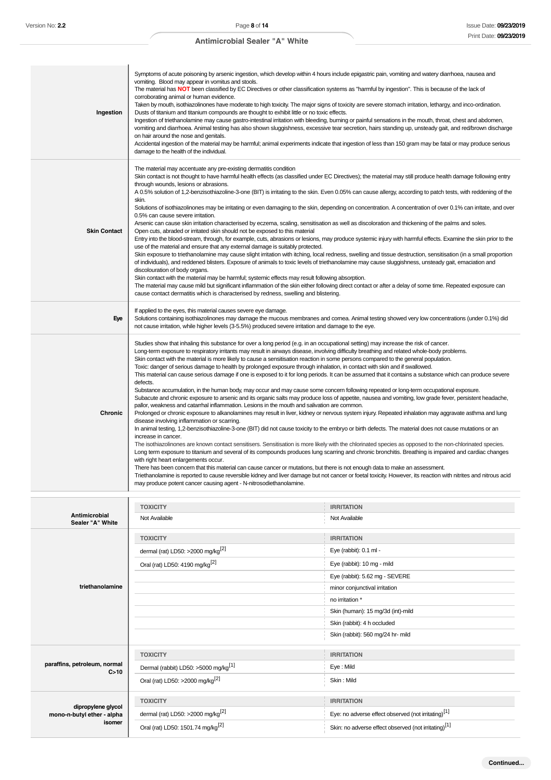| Ingestion                                                  | Symptoms of acute poisoning by arsenic ingestion, which develop within 4 hours include epigastric pain, vomiting and watery diarrhoea, nausea and<br>vomiting. Blood may appear in vomitus and stools.<br>The material has NOT been classified by EC Directives or other classification systems as "harmful by ingestion". This is because of the lack of<br>corroborating animal or human evidence.<br>Taken by mouth, isothiazolinones have moderate to high toxicity. The major signs of toxicity are severe stomach irritation, lethargy, and inco-ordination.<br>Dusts of titanium and titanium compounds are thought to exhibit little or no toxic effects.<br>Ingestion of triethanolamine may cause gastro-intestinal irritation with bleeding, burning or painful sensations in the mouth, throat, chest and abdomen,<br>vomiting and diarrhoea. Animal testing has also shown sluggishness, excessive tear secretion, hairs standing up, unsteady gait, and red/brown discharge<br>on hair around the nose and genitals.<br>Accidental ingestion of the material may be harmful; animal experiments indicate that ingestion of less than 150 gram may be fatal or may produce serious<br>damage to the health of the individual.                                                                                                                                                                                                                                                                                                                                                                                                                                                                                                                                                                                                                                                                                                                                                                                                                                                                                                                                                                                                                          |                                                                                                                                                                                                                                                                          |
|------------------------------------------------------------|---------------------------------------------------------------------------------------------------------------------------------------------------------------------------------------------------------------------------------------------------------------------------------------------------------------------------------------------------------------------------------------------------------------------------------------------------------------------------------------------------------------------------------------------------------------------------------------------------------------------------------------------------------------------------------------------------------------------------------------------------------------------------------------------------------------------------------------------------------------------------------------------------------------------------------------------------------------------------------------------------------------------------------------------------------------------------------------------------------------------------------------------------------------------------------------------------------------------------------------------------------------------------------------------------------------------------------------------------------------------------------------------------------------------------------------------------------------------------------------------------------------------------------------------------------------------------------------------------------------------------------------------------------------------------------------------------------------------------------------------------------------------------------------------------------------------------------------------------------------------------------------------------------------------------------------------------------------------------------------------------------------------------------------------------------------------------------------------------------------------------------------------------------------------------------------------------------------------------------------------------------------------|--------------------------------------------------------------------------------------------------------------------------------------------------------------------------------------------------------------------------------------------------------------------------|
| <b>Skin Contact</b>                                        | The material may accentuate any pre-existing dermatitis condition<br>Skin contact is not thought to have harmful health effects (as classified under EC Directives); the material may still produce health damage following entry<br>through wounds, lesions or abrasions.<br>A 0.5% solution of 1,2-benzisothiazoline-3-one (BIT) is irritating to the skin. Even 0.05% can cause allergy, according to patch tests, with reddening of the<br>skin.<br>Solutions of isothiazolinones may be irritating or even damaging to the skin, depending on concentration. A concentration of over 0.1% can irritate, and over<br>0.5% can cause severe irritation.<br>Arsenic can cause skin irritation characterised by eczema, scaling, sensitisation as well as discoloration and thickening of the palms and soles.<br>Open cuts, abraded or irritated skin should not be exposed to this material<br>Entry into the blood-stream, through, for example, cuts, abrasions or lesions, may produce systemic injury with harmful effects. Examine the skin prior to the<br>use of the material and ensure that any external damage is suitably protected.<br>Skin exposure to triethanolamine may cause slight irritation with itching, local redness, swelling and tissue destruction, sensitisation (in a small proportion<br>of individuals), and reddened blisters. Exposure of animals to toxic levels of triethanolamine may cause sluggishness, unsteady gait, emaciation and<br>discolouration of body organs.<br>Skin contact with the material may be harmful; systemic effects may result following absorption.<br>The material may cause mild but significant inflammation of the skin either following direct contact or after a delay of some time. Repeated exposure can<br>cause contact dermatitis which is characterised by redness, swelling and blistering.                                                                                                                                                                                                                                                                                                                                                                                            |                                                                                                                                                                                                                                                                          |
| Eye                                                        | If applied to the eyes, this material causes severe eye damage.<br>Solutions containing isothiazolinones may damage the mucous membranes and cornea. Animal testing showed very low concentrations (under 0.1%) did<br>not cause irritation, while higher levels (3-5.5%) produced severe irritation and damage to the eye.                                                                                                                                                                                                                                                                                                                                                                                                                                                                                                                                                                                                                                                                                                                                                                                                                                                                                                                                                                                                                                                                                                                                                                                                                                                                                                                                                                                                                                                                                                                                                                                                                                                                                                                                                                                                                                                                                                                                         |                                                                                                                                                                                                                                                                          |
| Chronic                                                    | Studies show that inhaling this substance for over a long period (e.g. in an occupational setting) may increase the risk of cancer.<br>Long-term exposure to respiratory irritants may result in airways disease, involving difficulty breathing and related whole-body problems.<br>Skin contact with the material is more likely to cause a sensitisation reaction in some persons compared to the general population.<br>Toxic: danger of serious damage to health by prolonged exposure through inhalation, in contact with skin and if swallowed.<br>This material can cause serious damage if one is exposed to it for long periods. It can be assumed that it contains a substance which can produce severe<br>defects.<br>Substance accumulation, in the human body, may occur and may cause some concern following repeated or long-term occupational exposure.<br>Subacute and chronic exposure to arsenic and its organic salts may produce loss of appetite, nausea and vomiting, low grade fever, persistent headache,<br>pallor, weakness and catarrhal inflammation. Lesions in the mouth and salivation are common.<br>Prolonged or chronic exposure to alkanolamines may result in liver, kidney or nervous system injury. Repeated inhalation may aggravate asthma and lung<br>disease involving inflammation or scarring.<br>In animal testing, 1,2-benzisothiazoline-3-one (BIT) did not cause toxicity to the embryo or birth defects. The material does not cause mutations or an<br>increase in cancer.<br>The isothiazolinones are known contact sensitisers. Sensitisation is more likely with the chlorinated species as opposed to the non-chlorinated species.<br>Long term exposure to titanium and several of its compounds produces lung scarring and chronic bronchitis. Breathing is impaired and cardiac changes<br>with right heart enlargements occur.<br>There has been concern that this material can cause cancer or mutations, but there is not enough data to make an assessment.<br>Triethanolamine is reported to cause reversible kidney and liver damage but not cancer or foetal toxicity. However, its reaction with nitrites and nitrous acid<br>may produce potent cancer causing agent - N-nitrosodiethanolamine. |                                                                                                                                                                                                                                                                          |
|                                                            | <b>TOXICITY</b>                                                                                                                                                                                                                                                                                                                                                                                                                                                                                                                                                                                                                                                                                                                                                                                                                                                                                                                                                                                                                                                                                                                                                                                                                                                                                                                                                                                                                                                                                                                                                                                                                                                                                                                                                                                                                                                                                                                                                                                                                                                                                                                                                                                                                                                     | <b>IRRITATION</b>                                                                                                                                                                                                                                                        |
| Antimicrobial<br>Sealer "A" White                          | Not Available                                                                                                                                                                                                                                                                                                                                                                                                                                                                                                                                                                                                                                                                                                                                                                                                                                                                                                                                                                                                                                                                                                                                                                                                                                                                                                                                                                                                                                                                                                                                                                                                                                                                                                                                                                                                                                                                                                                                                                                                                                                                                                                                                                                                                                                       | Not Available                                                                                                                                                                                                                                                            |
| triethanolamine                                            | <b>TOXICITY</b><br>dermal (rat) LD50: >2000 mg/kg <sup>[2]</sup><br>Oral (rat) LD50: 4190 mg/kg <sup>[2]</sup>                                                                                                                                                                                                                                                                                                                                                                                                                                                                                                                                                                                                                                                                                                                                                                                                                                                                                                                                                                                                                                                                                                                                                                                                                                                                                                                                                                                                                                                                                                                                                                                                                                                                                                                                                                                                                                                                                                                                                                                                                                                                                                                                                      | <b>IRRITATION</b><br>Eye (rabbit): 0.1 ml -<br>Eye (rabbit): 10 mg - mild<br>Eye (rabbit): 5.62 mg - SEVERE<br>minor conjunctival irritation<br>no irritation *<br>Skin (human): 15 mg/3d (int)-mild<br>Skin (rabbit): 4 h occluded<br>Skin (rabbit): 560 mg/24 hr- mild |
| paraffins, petroleum, normal<br>C>10                       | <b>TOXICITY</b><br>Dermal (rabbit) LD50: >5000 mg/kg <sup>[1]</sup><br>Oral (rat) LD50: >2000 mg/kg <sup>[2]</sup>                                                                                                                                                                                                                                                                                                                                                                                                                                                                                                                                                                                                                                                                                                                                                                                                                                                                                                                                                                                                                                                                                                                                                                                                                                                                                                                                                                                                                                                                                                                                                                                                                                                                                                                                                                                                                                                                                                                                                                                                                                                                                                                                                  | <b>IRRITATION</b><br>Eye: Mild<br>Skin: Mild                                                                                                                                                                                                                             |
| dipropylene glycol<br>mono-n-butyl ether - alpha<br>isomer | <b>TOXICITY</b><br>dermal (rat) LD50: >2000 mg/kg <sup>[2]</sup><br>Oral (rat) LD50: 1501.74 mg/kg <sup>[2]</sup>                                                                                                                                                                                                                                                                                                                                                                                                                                                                                                                                                                                                                                                                                                                                                                                                                                                                                                                                                                                                                                                                                                                                                                                                                                                                                                                                                                                                                                                                                                                                                                                                                                                                                                                                                                                                                                                                                                                                                                                                                                                                                                                                                   | <b>IRRITATION</b><br>Eye: no adverse effect observed (not irritating)[1]<br>Skin: no adverse effect observed (not irritating) <sup>[1]</sup>                                                                                                                             |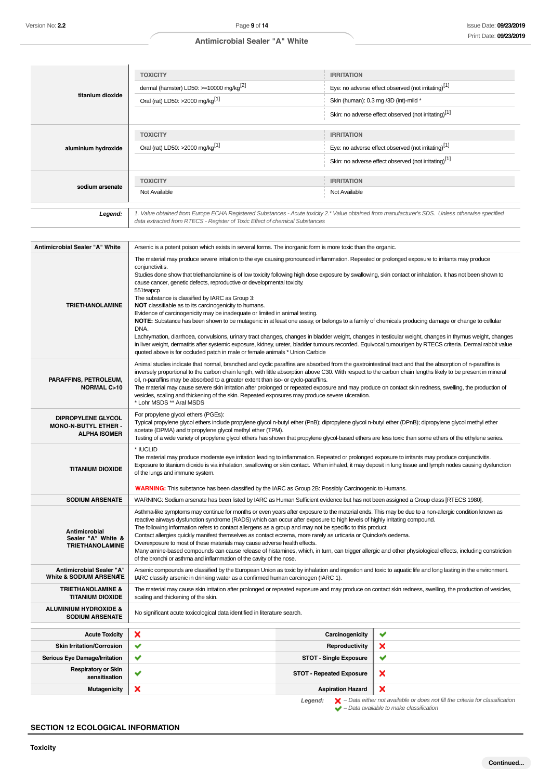|                                                                          | <b>TOXICITY</b>                                                                                                                                                                                                                                                                                                                                                                                                                                                                                                                                                                                                                                                                                                                                                                                                                                                                                                                                                                                                                                                                                                                                                                         | <b>IRRITATION</b>                                                                                                                                                                                                               |                                                                                                                                                                     |  |
|--------------------------------------------------------------------------|-----------------------------------------------------------------------------------------------------------------------------------------------------------------------------------------------------------------------------------------------------------------------------------------------------------------------------------------------------------------------------------------------------------------------------------------------------------------------------------------------------------------------------------------------------------------------------------------------------------------------------------------------------------------------------------------------------------------------------------------------------------------------------------------------------------------------------------------------------------------------------------------------------------------------------------------------------------------------------------------------------------------------------------------------------------------------------------------------------------------------------------------------------------------------------------------|---------------------------------------------------------------------------------------------------------------------------------------------------------------------------------------------------------------------------------|---------------------------------------------------------------------------------------------------------------------------------------------------------------------|--|
| titanium dioxide                                                         |                                                                                                                                                                                                                                                                                                                                                                                                                                                                                                                                                                                                                                                                                                                                                                                                                                                                                                                                                                                                                                                                                                                                                                                         |                                                                                                                                                                                                                                 |                                                                                                                                                                     |  |
|                                                                          | dermal (hamster) LD50: >=10000 mg/kg <sup>[2]</sup>                                                                                                                                                                                                                                                                                                                                                                                                                                                                                                                                                                                                                                                                                                                                                                                                                                                                                                                                                                                                                                                                                                                                     |                                                                                                                                                                                                                                 | Eye: no adverse effect observed (not irritating)[1]                                                                                                                 |  |
|                                                                          | Oral (rat) LD50: >2000 mg/kg <sup>[1]</sup>                                                                                                                                                                                                                                                                                                                                                                                                                                                                                                                                                                                                                                                                                                                                                                                                                                                                                                                                                                                                                                                                                                                                             |                                                                                                                                                                                                                                 | Skin (human): 0.3 mg /3D (int)-mild *                                                                                                                               |  |
|                                                                          |                                                                                                                                                                                                                                                                                                                                                                                                                                                                                                                                                                                                                                                                                                                                                                                                                                                                                                                                                                                                                                                                                                                                                                                         |                                                                                                                                                                                                                                 | Skin: no adverse effect observed (not irritating) <sup>[1]</sup>                                                                                                    |  |
|                                                                          | <b>TOXICITY</b>                                                                                                                                                                                                                                                                                                                                                                                                                                                                                                                                                                                                                                                                                                                                                                                                                                                                                                                                                                                                                                                                                                                                                                         | <b>IRRITATION</b>                                                                                                                                                                                                               |                                                                                                                                                                     |  |
| aluminium hydroxide                                                      | Oral (rat) LD50: >2000 mg/kg <sup>[1]</sup>                                                                                                                                                                                                                                                                                                                                                                                                                                                                                                                                                                                                                                                                                                                                                                                                                                                                                                                                                                                                                                                                                                                                             |                                                                                                                                                                                                                                 | Eye: no adverse effect observed (not irritating) <sup>[1]</sup>                                                                                                     |  |
|                                                                          |                                                                                                                                                                                                                                                                                                                                                                                                                                                                                                                                                                                                                                                                                                                                                                                                                                                                                                                                                                                                                                                                                                                                                                                         |                                                                                                                                                                                                                                 | Skin: no adverse effect observed (not irritating)[1]                                                                                                                |  |
|                                                                          | <b>TOXICITY</b>                                                                                                                                                                                                                                                                                                                                                                                                                                                                                                                                                                                                                                                                                                                                                                                                                                                                                                                                                                                                                                                                                                                                                                         | <b>IRRITATION</b>                                                                                                                                                                                                               |                                                                                                                                                                     |  |
| sodium arsenate                                                          | Not Available                                                                                                                                                                                                                                                                                                                                                                                                                                                                                                                                                                                                                                                                                                                                                                                                                                                                                                                                                                                                                                                                                                                                                                           | Not Available                                                                                                                                                                                                                   |                                                                                                                                                                     |  |
| Legend:                                                                  |                                                                                                                                                                                                                                                                                                                                                                                                                                                                                                                                                                                                                                                                                                                                                                                                                                                                                                                                                                                                                                                                                                                                                                                         | 1. Value obtained from Europe ECHA Registered Substances - Acute toxicity 2.* Value obtained from manufacturer's SDS. Unless otherwise specified<br>data extracted from RTECS - Register of Toxic Effect of chemical Substances |                                                                                                                                                                     |  |
| <b>Antimicrobial Sealer "A" White</b>                                    |                                                                                                                                                                                                                                                                                                                                                                                                                                                                                                                                                                                                                                                                                                                                                                                                                                                                                                                                                                                                                                                                                                                                                                                         | Arsenic is a potent poison which exists in several forms. The inorganic form is more toxic than the organic.                                                                                                                    |                                                                                                                                                                     |  |
| <b>TRIETHANOLAMINE</b>                                                   | The material may produce severe irritation to the eye causing pronounced inflammation. Repeated or prolonged exposure to irritants may produce<br>conjunctivitis.<br>Studies done show that triethanolamine is of low toxicity following high dose exposure by swallowing, skin contact or inhalation. It has not been shown to<br>cause cancer, genetic defects, reproductive or developmental toxicity.<br>551 teapco<br>The substance is classified by IARC as Group 3:<br>NOT classifiable as to its carcinogenicity to humans.<br>Evidence of carcinogenicity may be inadequate or limited in animal testing.<br>NOTE: Substance has been shown to be mutagenic in at least one assay, or belongs to a family of chemicals producing damage or change to cellular<br>DNA.<br>Lachrymation, diarrhoea, convulsions, urinary tract changes, changes in bladder weight, changes in testicular weight, changes in thymus weight, changes<br>in liver weight, dermatitis after systemic exposure, kidney, ureter, bladder tumours recorded. Equivocal tumourigen by RTECS criteria. Dermal rabbit value<br>quoted above is for occluded patch in male or female animals * Union Carbide |                                                                                                                                                                                                                                 |                                                                                                                                                                     |  |
| PARAFFINS, PETROLEUM,<br><b>NORMAL C&gt;10</b>                           | Animal studies indicate that normal, branched and cyclic paraffins are absorbed from the gastrointestinal tract and that the absorption of n-paraffins is<br>inversely proportional to the carbon chain length, with little absorption above C30. With respect to the carbon chain lengths likely to be present in mineral<br>oil, n-paraffins may be absorbed to a greater extent than iso- or cyclo-paraffins.<br>The material may cause severe skin irritation after prolonged or repeated exposure and may produce on contact skin redness, swelling, the production of<br>vesicles, scaling and thickening of the skin. Repeated exposures may produce severe ulceration.<br>* Lohr MSDS ** Aral MSDS                                                                                                                                                                                                                                                                                                                                                                                                                                                                              |                                                                                                                                                                                                                                 |                                                                                                                                                                     |  |
| <b>DIPROPYLENE GLYCOL</b><br>MONO-N-BUTYL ETHER -<br><b>ALPHA ISOMER</b> | For propylene glycol ethers (PGEs):<br>Typical propylene glycol ethers include propylene glycol n-butyl ether (PnB); dipropylene glycol n-butyl ether (DPnB); dipropylene glycol methyl ether<br>acetate (DPMA) and tripropylene glycol methyl ether (TPM).<br>Testing of a wide variety of propylene glycol ethers has shown that propylene glycol-based ethers are less toxic than some ethers of the ethylene series.                                                                                                                                                                                                                                                                                                                                                                                                                                                                                                                                                                                                                                                                                                                                                                |                                                                                                                                                                                                                                 |                                                                                                                                                                     |  |
| <b>TITANIUM DIOXIDE</b>                                                  | * IUCLID<br>The material may produce moderate eye irritation leading to inflammation. Repeated or prolonged exposure to irritants may produce conjunctivitis.<br>Exposure to titanium dioxide is via inhalation, swallowing or skin contact. When inhaled, it may deposit in lung tissue and lymph nodes causing dysfunction<br>of the lungs and immune system.                                                                                                                                                                                                                                                                                                                                                                                                                                                                                                                                                                                                                                                                                                                                                                                                                         |                                                                                                                                                                                                                                 |                                                                                                                                                                     |  |
|                                                                          | <b>WARNING:</b> This substance has been classified by the IARC as Group 2B: Possibly Carcinogenic to Humans.                                                                                                                                                                                                                                                                                                                                                                                                                                                                                                                                                                                                                                                                                                                                                                                                                                                                                                                                                                                                                                                                            |                                                                                                                                                                                                                                 |                                                                                                                                                                     |  |
| <b>SODIUM ARSENATE</b>                                                   | WARNING: Sodium arsenate has been listed by IARC as Human Sufficient evidence but has not been assigned a Group class [RTECS 1980].                                                                                                                                                                                                                                                                                                                                                                                                                                                                                                                                                                                                                                                                                                                                                                                                                                                                                                                                                                                                                                                     |                                                                                                                                                                                                                                 |                                                                                                                                                                     |  |
| Antimicrobial<br>Sealer "A" White &<br><b>TRIETHANOLAMINE</b>            | Asthma-like symptoms may continue for months or even years after exposure to the material ends. This may be due to a non-allergic condition known as<br>reactive airways dysfunction syndrome (RADS) which can occur after exposure to high levels of highly irritating compound.<br>The following information refers to contact allergens as a group and may not be specific to this product.<br>Contact allergies quickly manifest themselves as contact eczema, more rarely as urticaria or Quincke's oedema.<br>Overexposure to most of these materials may cause adverse health effects.<br>Many amine-based compounds can cause release of histamines, which, in turn, can trigger allergic and other physiological effects, including constriction<br>of the bronchi or asthma and inflammation of the cavity of the nose.                                                                                                                                                                                                                                                                                                                                                       |                                                                                                                                                                                                                                 |                                                                                                                                                                     |  |
| <b>Antimicrobial Sealer "A"</b><br><b>White &amp; SODIUM ARSENATE</b>    | Arsenic compounds are classified by the European Union as toxic by inhalation and ingestion and toxic to aquatic life and long lasting in the environment.<br>IARC classify arsenic in drinking water as a confirmed human carcinogen (IARC 1).                                                                                                                                                                                                                                                                                                                                                                                                                                                                                                                                                                                                                                                                                                                                                                                                                                                                                                                                         |                                                                                                                                                                                                                                 |                                                                                                                                                                     |  |
| <b>TRIETHANOLAMINE &amp;</b><br><b>TITANIUM DIOXIDE</b>                  | The material may cause skin irritation after prolonged or repeated exposure and may produce on contact skin redness, swelling, the production of vesicles,<br>scaling and thickening of the skin.                                                                                                                                                                                                                                                                                                                                                                                                                                                                                                                                                                                                                                                                                                                                                                                                                                                                                                                                                                                       |                                                                                                                                                                                                                                 |                                                                                                                                                                     |  |
| <b>ALUMINIUM HYDROXIDE &amp;</b><br><b>SODIUM ARSENATE</b>               | No significant acute toxicological data identified in literature search.                                                                                                                                                                                                                                                                                                                                                                                                                                                                                                                                                                                                                                                                                                                                                                                                                                                                                                                                                                                                                                                                                                                |                                                                                                                                                                                                                                 |                                                                                                                                                                     |  |
| <b>Acute Toxicity</b>                                                    | ×                                                                                                                                                                                                                                                                                                                                                                                                                                                                                                                                                                                                                                                                                                                                                                                                                                                                                                                                                                                                                                                                                                                                                                                       | Carcinogenicity                                                                                                                                                                                                                 | ✔                                                                                                                                                                   |  |
| <b>Skin Irritation/Corrosion</b>                                         | ✔                                                                                                                                                                                                                                                                                                                                                                                                                                                                                                                                                                                                                                                                                                                                                                                                                                                                                                                                                                                                                                                                                                                                                                                       | Reproductivity                                                                                                                                                                                                                  | ×                                                                                                                                                                   |  |
| <b>Serious Eye Damage/Irritation</b>                                     | ✔                                                                                                                                                                                                                                                                                                                                                                                                                                                                                                                                                                                                                                                                                                                                                                                                                                                                                                                                                                                                                                                                                                                                                                                       | <b>STOT - Single Exposure</b>                                                                                                                                                                                                   | ✔                                                                                                                                                                   |  |
| <b>Respiratory or Skin</b><br>sensitisation                              | ✔                                                                                                                                                                                                                                                                                                                                                                                                                                                                                                                                                                                                                                                                                                                                                                                                                                                                                                                                                                                                                                                                                                                                                                                       | <b>STOT - Repeated Exposure</b>                                                                                                                                                                                                 | ×                                                                                                                                                                   |  |
| <b>Mutagenicity</b>                                                      | ×                                                                                                                                                                                                                                                                                                                                                                                                                                                                                                                                                                                                                                                                                                                                                                                                                                                                                                                                                                                                                                                                                                                                                                                       | <b>Aspiration Hazard</b>                                                                                                                                                                                                        | ×                                                                                                                                                                   |  |
|                                                                          |                                                                                                                                                                                                                                                                                                                                                                                                                                                                                                                                                                                                                                                                                                                                                                                                                                                                                                                                                                                                                                                                                                                                                                                         | Legend:                                                                                                                                                                                                                         | $\blacktriangleright$ - Data either not available or does not fill the criteria for classification<br>$\blacktriangleright$ - Data available to make classification |  |

## **SECTION 12 ECOLOGICAL INFORMATION**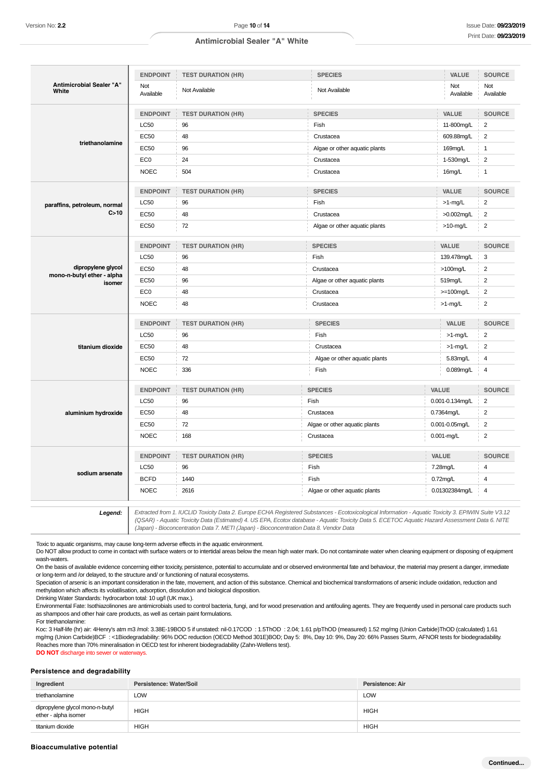|                                          | <b>ENDPOINT</b>  | <b>TEST DURATION (HR)</b> | <b>SPECIES</b>                | VALUE            | <b>SOURCE</b>    |
|------------------------------------------|------------------|---------------------------|-------------------------------|------------------|------------------|
| <b>Antimicrobial Sealer "A"</b><br>White | Not<br>Available | Not Available             | Not Available                 | Not<br>Available | Not<br>Available |
|                                          | <b>ENDPOINT</b>  | <b>TEST DURATION (HR)</b> | <b>SPECIES</b>                | VALUE            | <b>SOURCE</b>    |
|                                          | <b>LC50</b>      | 96                        | Fish                          | 11-800mg/L       | $\overline{2}$   |
|                                          | <b>EC50</b>      | 48                        | Crustacea                     | 609.88mg/L       | $\overline{2}$   |
| triethanolamine                          | EC50             | 96                        | Algae or other aquatic plants | 169mg/L          | $\mathbf{1}$     |
|                                          | EC <sub>0</sub>  | 24                        | Crustacea                     | 1-530mg/L        | $\overline{2}$   |
|                                          | <b>NOEC</b>      | 504                       | Crustacea                     | 16mg/L           | $\mathbf{1}$     |
|                                          | <b>ENDPOINT</b>  | <b>TEST DURATION (HR)</b> | <b>SPECIES</b>                | VALUE            | <b>SOURCE</b>    |
| paraffins, petroleum, normal             | <b>LC50</b>      | 96                        | Fish                          | $>1$ -mg/L       | $\overline{2}$   |
| C>10                                     | <b>EC50</b>      | 48                        | Crustacea                     | >0.002mg/L       | $\overline{2}$   |
|                                          | EC50             | 72                        | Algae or other aquatic plants | $>10$ -mg/L      | $\overline{2}$   |
|                                          | <b>ENDPOINT</b>  | <b>TEST DURATION (HR)</b> | <b>SPECIES</b>                | <b>VALUE</b>     | <b>SOURCE</b>    |
|                                          | LC50             | 96                        | Fish                          | 139.478mg/L      | $\sqrt{3}$       |
| dipropylene glycol                       | <b>EC50</b>      | 48                        | Crustacea                     | >100mg/L         | $\overline{2}$   |
| mono-n-butyl ether - alpha<br>isomer     | <b>EC50</b>      | 96                        | Algae or other aquatic plants | 519mg/L          | $\overline{2}$   |
|                                          | EC <sub>0</sub>  | 48                        | Crustacea                     | $>=100$ mg/L     | $\sqrt{2}$       |
|                                          | <b>NOEC</b>      | 48                        | Crustacea                     | $>1$ -mg/L       | $\overline{2}$   |
|                                          | <b>ENDPOINT</b>  | <b>TEST DURATION (HR)</b> | <b>SPECIES</b>                | <b>VALUE</b>     | <b>SOURCE</b>    |
|                                          | <b>LC50</b>      | 96                        | Fish<br>$>1$ -mg/L            |                  | $\sqrt{2}$       |
| titanium dioxide                         | <b>EC50</b>      | 48                        | Crustacea<br>$>1$ -mg/L       |                  | $\overline{2}$   |
|                                          | EC50             | 72                        | Algae or other aquatic plants | 5.83mg/L         | $\overline{4}$   |
|                                          | <b>NOEC</b>      | 336                       | Fish                          | 0.089mg/L        | $\overline{4}$   |
|                                          | <b>ENDPOINT</b>  | <b>TEST DURATION (HR)</b> | <b>SPECIES</b>                | VALUE            | <b>SOURCE</b>    |
|                                          | <b>LC50</b>      | 96                        | Fish                          | 0.001-0.134mg/L  | $\overline{2}$   |
| aluminium hydroxide                      | <b>EC50</b>      | 48                        | Crustacea                     | 0.7364mg/L       | $\overline{2}$   |
|                                          | EC50             | 72                        | Algae or other aquatic plants | 0.001-0.05mg/L   | $\overline{2}$   |
|                                          | <b>NOEC</b>      | 168                       | Crustacea                     | 0.001-mg/L       | $\overline{2}$   |
|                                          | <b>ENDPOINT</b>  | <b>TEST DURATION (HR)</b> | <b>SPECIES</b>                | <b>VALUE</b>     | <b>SOURCE</b>    |
|                                          | LC50             | 96                        | Fish                          | 7.28mg/L         | $\overline{4}$   |
| sodium arsenate                          | <b>BCFD</b>      | 1440                      | Fish                          | 0.72mg/L         | $\overline{4}$   |
|                                          | <b>NOEC</b>      | 2616                      | Algae or other aquatic plants | 0.01302384mg/L   | $\overline{4}$   |

(QSAR) - Aquatic Toxicity Data (Estimated) 4. US EPA, Ecotox database - Aquatic Toxicity Data 5. ECETOC Aquatic Hazard Assessment Data 6. NITE (Japan) - Bioconcentration Data 7. METI (Japan) - Bioconcentration Data 8. Vendor Data

Toxic to aquatic organisms, may cause long-term adverse effects in the aquatic environment.

Do NOT allow product to come in contact with surface waters or to intertidal areas below the mean high water mark. Do not contaminate water when cleaning equipment or disposing of equipment wash-waters.

On the basis of available evidence concerning either toxicity, persistence, potential to accumulate and or observed environmental fate and behaviour, the material may present a danger, immediate or long-term and /or delayed, to the structure and/ or functioning of natural ecosystems.

Speciation of arsenic is an important consideration in the fate, movement, and action of this substance. Chemical and biochemical transformations of arsenic include oxidation, reduction and methylation which affects its volatilisation, adsorption, dissolution and biological disposition.

Drinking Water Standards: hydrocarbon total: 10 ug/l (UK max.).

Environmental Fate: Isothiazolinones are antimicrobials used to control bacteria, fungi, and for wood preservation and antifouling agents. They are frequently used in personal care products such as shampoos and other hair care products, as well as certain paint formulations.

For triethanolamine:

Koc: 3 Half-life (hr) air: 4Henry's atm m3 /mol: 3.38E-19BOD 5 if unstated: nil-0.17COD : 1.5ThOD : 2.04; 1.61 p/pThOD (measured) 1.52 mg/mg (Union Carbide)ThOD (calculated) 1.61 mg/mg (Union Carbide)BCF : <1Biodegradability: 96% DOC reduction (OECD Method 301E)BOD; Day 5: 8%, Day 10: 9%, Day 20: 66% Passes Sturm, AFNOR tests for biodegradability. Reaches more than 70% mineralisation in OECD test for inherent biodegradability (Zahn-Wellens test). **DO NOT** discharge into sewer or waterways

## **Persistence and degradability**

| Ingredient                                              | Persistence: Water/Soil | Persistence: Air |
|---------------------------------------------------------|-------------------------|------------------|
| triethanolamine                                         | LOW                     | LOW              |
| dipropylene glycol mono-n-butyl<br>ether - alpha isomer | <b>HIGH</b>             | <b>HIGH</b>      |
| titanium dioxide                                        | <b>HIGH</b>             | <b>HIGH</b>      |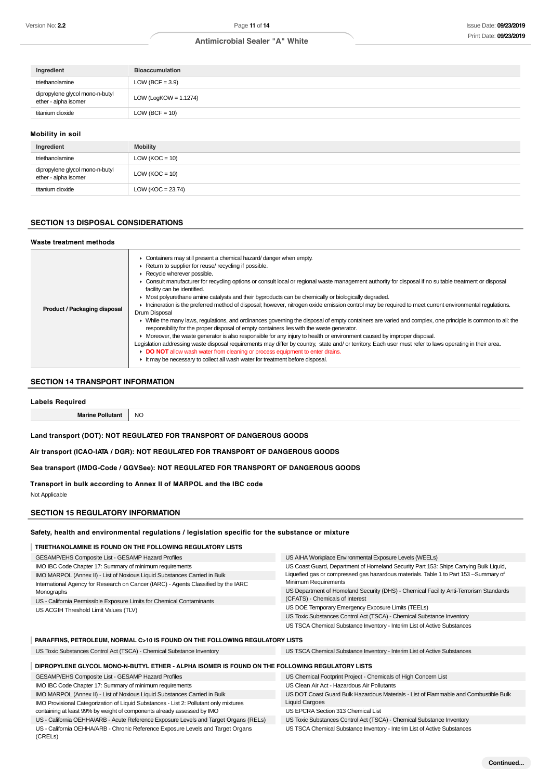| Ingredient                                              | <b>Bioaccumulation</b>   |
|---------------------------------------------------------|--------------------------|
| triethanolamine                                         | LOW (BCF = $3.9$ )       |
| dipropylene glycol mono-n-butyl<br>ether - alpha isomer | LOW (LogKOW = $1.1274$ ) |
| titanium dioxide                                        | $LOW (BCF = 10)$         |
| Mobility in soil                                        |                          |

| Ingredient                                              | <b>Mobility</b>      |
|---------------------------------------------------------|----------------------|
| triethanolamine                                         | LOW ( $KOC = 10$ )   |
| dipropylene glycol mono-n-butyl<br>ether - alpha isomer | LOW ( $KOC = 10$ )   |
| titanium dioxide                                        | LOW (KOC = $23.74$ ) |

## **SECTION 13 DISPOSAL CONSIDERATIONS**

| Waste treatment methods      |                                                                                                                                                                                                                                                                                                                                                                                                                                                                                                                                                                                                                                                                                                                                                                                                                                                                                                                                                                                                                                                                                                                                                                                                                                                                                                                                                         |
|------------------------------|---------------------------------------------------------------------------------------------------------------------------------------------------------------------------------------------------------------------------------------------------------------------------------------------------------------------------------------------------------------------------------------------------------------------------------------------------------------------------------------------------------------------------------------------------------------------------------------------------------------------------------------------------------------------------------------------------------------------------------------------------------------------------------------------------------------------------------------------------------------------------------------------------------------------------------------------------------------------------------------------------------------------------------------------------------------------------------------------------------------------------------------------------------------------------------------------------------------------------------------------------------------------------------------------------------------------------------------------------------|
| Product / Packaging disposal | • Containers may still present a chemical hazard/danger when empty.<br>Return to supplier for reuse/ recycling if possible.<br>Recycle wherever possible.<br>• Consult manufacturer for recycling options or consult local or regional waste management authority for disposal if no suitable treatment or disposal<br>facility can be identified.<br>• Most polyurethane amine catalysts and their byproducts can be chemically or biologically degraded.<br>Incineration is the preferred method of disposal; however, nitrogen oxide emission control may be required to meet current environmental requlations.<br>Drum Disposal<br>> While the many laws, regulations, and ordinances governing the disposal of empty containers are varied and complex, one principle is common to all: the<br>responsibility for the proper disposal of empty containers lies with the waste generator.<br>• Moreover, the waste generator is also responsible for any injury to health or environment caused by improper disposal.<br>Legislation addressing waste disposal requirements may differ by country, state and/ or territory. Each user must refer to laws operating in their area.<br>• DO NOT allow wash water from cleaning or process equipment to enter drains.<br>It may be necessary to collect all wash water for treatment before disposal. |

## **SECTION 14 TRANSPORT INFORMATION**

#### **Labels Required**

**Marine Pollutant** | NO

**Land transport (DOT): NOT REGULATED FOR TRANSPORT OF DANGEROUS GOODS**

**Air transport (ICAO-IATA / DGR): NOT REGULATED FOR TRANSPORT OF DANGEROUS GOODS**

**Sea transport (IMDG-Code / GGVSee): NOT REGULATED FOR TRANSPORT OF DANGEROUS GOODS**

**Transport in bulk according to Annex II of MARPOL and the IBC code**

Not Applicable

#### **SECTION 15 REGULATORY INFORMATION**

#### **Safety, health and environmental regulations / legislation specific for the substance or mixture**

## **TRIETHANOLAMINE IS FOUND ON THE FOLLOWING REGULATORY LISTS**

| GESAMP/EHS Composite List - GESAMP Hazard Profiles                                 | US AIHA Workplace Environmental Exposure Levels (WEELs)                                                                                                                         |  |  |
|------------------------------------------------------------------------------------|---------------------------------------------------------------------------------------------------------------------------------------------------------------------------------|--|--|
| IMO IBC Code Chapter 17: Summary of minimum requirements                           | US Coast Guard, Department of Homeland Security Part 153: Ships Carrying Bulk Liquid,<br>Liquefied gas or compressed gas hazardous materials. Table 1 to Part 153 -- Summary of |  |  |
| IMO MARPOL (Annex II) - List of Noxious Liquid Substances Carried in Bulk          |                                                                                                                                                                                 |  |  |
| International Agency for Research on Cancer (IARC) - Agents Classified by the IARC | Minimum Requirements                                                                                                                                                            |  |  |
| Monographs                                                                         | US Department of Homeland Security (DHS) - Chemical Facility Anti-Terrorism Standards                                                                                           |  |  |
| US - California Permissible Exposure Limits for Chemical Contaminants              | (CFATS) - Chemicals of Interest                                                                                                                                                 |  |  |
| US ACGIH Threshold Limit Values (TLV)                                              | US DOE Temporary Emergency Exposure Limits (TEELs)                                                                                                                              |  |  |
|                                                                                    | US Toxic Substances Control Act (TSCA) - Chemical Substance Inventory                                                                                                           |  |  |
|                                                                                    | US TSCA Chemical Substance Inventory - Interim List of Active Substances                                                                                                        |  |  |
| PARAFFINS, PETROLEUM, NORMAL C>10 IS FOUND ON THE FOLLOWING REGULATORY LISTS       |                                                                                                                                                                                 |  |  |

Liquid Cargoes

US EPCRA Section 313 Chemical List

US Toxic Substances Control Act (TSCA) - Chemical Substance Inventory US TSCA Chemical Substance Inventory - Interim List of Active Substances

US Toxic Substances Control Act (TSCA) - Chemical Substance Inventory US TSCA Chemical Substance Inventory - Interim List of Active Substances

**DIPROPYLENE GLYCOL MONO-N-BUTYL ETHER - ALPHA ISOMER IS FOUND ON THE FOLLOWING REGULATORY LISTS**

GESAMP/EHS Composite List - GESAMP Hazard Profiles IMO IBC Code Chapter 17: Summary of minimum requirements US Chemical Footprint Project - Chemicals of High Concern List US Clean Air Act - Hazardous Air Pollutants US DOT Coast Guard Bulk Hazardous Materials - List of Flammable and Combustible Bulk

IMO MARPOL (Annex II) - List of Noxious Liquid Substances Carried in Bulk

IMO Provisional Categorization of Liquid Substances - List 2: Pollutant only mixtures

containing at least 99% by weight of components already assessed by IMO

US - California OEHHA/ARB - Acute Reference Exposure Levels and Target Organs (RELs) US - California OEHHA/ARB - Chronic Reference Exposure Levels and Target Organs (CRELs)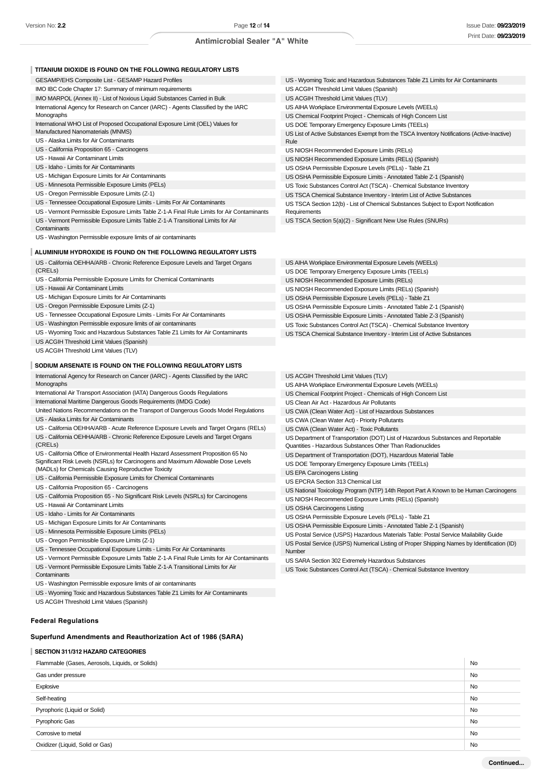Rule

**TITANIUM DIOXIDE IS FOUND ON THE FOLLOWING REGULATORY LISTS**

- GESAMP/EHS Composite List GESAMP Hazard Profiles
- IMO IBC Code Chapter 17: Summary of minimum requirements
- IMO MARPOL (Annex II) List of Noxious Liquid Substances Carried in Bulk International Agency for Research on Cancer (IARC) - Agents Classified by the IARC
- Monographs International WHO List of Proposed Occupational Exposure Limit (OEL) Values for
- Manufactured Nanomaterials (MNMS)
- US Alaska Limits for Air Contaminants
- US California Proposition 65 Carcinogens
- US Hawaii Air Contaminant Limits
- US Idaho Limits for Air Contaminants
- US Michigan Exposure Limits for Air Contaminants
- US Minnesota Permissible Exposure Limits (PELs)
- US Oregon Permissible Exposure Limits (Z-1)
- US Tennessee Occupational Exposure Limits Limits For Air Contaminants
- US Vermont Permissible Exposure Limits Table Z-1-A Final Rule Limits for Air Contaminants
- US Vermont Permissible Exposure Limits Table Z-1-A Transitional Limits for Air
- **Contaminants**

US - Washington Permissible exposure limits of air contaminants

#### **ALUMINIUM HYDROXIDE IS FOUND ON THE FOLLOWING REGULATORY LISTS**

- US California OEHHA/ARB Chronic Reference Exposure Levels and Target Organs (CRELs)
- US California Permissible Exposure Limits for Chemical Contaminants
- US Hawaii Air Contaminant Limits

US - Michigan Exposure Limits for Air Contaminants

- US Oregon Permissible Exposure Limits (Z-1)
- 
- US Tennessee Occupational Exposure Limits Limits For Air Contaminants
- US Washington Permissible exposure limits of air contaminants
- US Wyoming Toxic and Hazardous Substances Table Z1 Limits for Air Contaminants
- US ACGIH Threshold Limit Values (Spanish)
- US ACGIH Threshold Limit Values (TLV)

#### **SODIUM ARSENATE IS FOUND ON THE FOLLOWING REGULATORY LISTS**

International Agency for Research on Cancer (IARC) - Agents Classified by the IARC Monographs

- International Air Transport Association (IATA) Dangerous Goods Regulations
- International Maritime Dangerous Goods Requirements (IMDG Code)

United Nations Recommendations on the Transport of Dangerous Goods Model Regulations US - Alaska Limits for Air Contaminants

- US California OEHHA/ARB Acute Reference Exposure Levels and Target Organs (RELs) US - California OEHHA/ARB - Chronic Reference Exposure Levels and Target Organs
- (CRELs) US - California Office of Environmental Health Hazard Assessment Proposition 65 No

Significant Risk Levels (NSRLs) for Carcinogens and Maximum Allowable Dose Levels (MADLs) for Chemicals Causing Reproductive Toxicity

- US California Permissible Exposure Limits for Chemical Contaminants
- US California Proposition 65 Carcinogens
- US California Proposition 65 No Significant Risk Levels (NSRLs) for Carcinogens
- US Hawaii Air Contaminant Limits
- US Idaho Limits for Air Contaminants
- US Michigan Exposure Limits for Air Contaminants
- US Minnesota Permissible Exposure Limits (PELs)
- US Oregon Permissible Exposure Limits (Z-1)
- US Tennessee Occupational Exposure Limits Limits For Air Contaminants
- US Vermont Permissible Exposure Limits Table Z-1-A Final Rule Limits for Air Contaminants
- US Vermont Permissible Exposure Limits Table Z-1-A Transitional Limits for Air **Contaminants**
- US Washington Permissible exposure limits of air contaminants
- US Wyoming Toxic and Hazardous Substances Table Z1 Limits for Air Contaminants
- US ACGIH Threshold Limit Values (Spanish)

#### **Federal Regulations**

#### **Superfund Amendments and Reauthorization Act of 1986 (SARA)**

#### **SECTION 311/312 HAZARD CATEGORIES**

| Flammable (Gases, Aerosols, Liquids, or Solids) |           |
|-------------------------------------------------|-----------|
| Gas under pressure                              | No        |
| Explosive                                       | <b>No</b> |
| Self-heating                                    | No        |
| Pyrophoric (Liquid or Solid)                    | No        |
| Pyrophoric Gas                                  | No        |
| Corrosive to metal                              | <b>No</b> |
| Oxidizer (Liquid, Solid or Gas)                 | No        |

US Toxic Substances Control Act (TSCA) - Chemical Substance Inventory US TSCA Chemical Substance Inventory - Interim List of Active Substances US TSCA Section 12(b) - List of Chemical Substances Subject to Export Notification **Requirements** US TSCA Section 5(a)(2) - Significant New Use Rules (SNURs)

US OSHA Permissible Exposure Limits - Annotated Table Z-1 (Spanish)

US - Wyoming Toxic and Hazardous Substances Table Z1 Limits for Air Contaminants

US List of Active Substances Exempt from the TSCA Inventory Notifications (Active-Inactive)

- US AIHA Workplace Environmental Exposure Levels (WEELs) US DOE Temporary Emergency Exposure Limits (TEELs)
- US NIOSH Recommended Exposure Limits (RELs)

US ACGIH Threshold Limit Values (Spanish) US ACGIH Threshold Limit Values (TLV)

US NIOSH Recommended Exposure Limits (RELs) US NIOSH Recommended Exposure Limits (RELs) (Spanish) US OSHA Permissible Exposure Levels (PELs) - Table Z1

US AIHA Workplace Environmental Exposure Levels (WEELs) US Chemical Footprint Project - Chemicals of High Concern List US DOE Temporary Emergency Exposure Limits (TEELs)

- US NIOSH Recommended Exposure Limits (RELs) (Spanish)
- US OSHA Permissible Exposure Levels (PELs) Table Z1
- US OSHA Permissible Exposure Limits Annotated Table Z-1 (Spanish)
- US OSHA Permissible Exposure Limits Annotated Table Z-3 (Spanish)
- US Toxic Substances Control Act (TSCA) Chemical Substance Inventory
- US TSCA Chemical Substance Inventory Interim List of Active Substances
- US ACGIH Threshold Limit Values (TLV)
- US AIHA Workplace Environmental Exposure Levels (WEELs)
- US Chemical Footprint Project Chemicals of High Concern List
- US Clean Air Act Hazardous Air Pollutants
- US CWA (Clean Water Act) List of Hazardous Substances
- US CWA (Clean Water Act) Priority Pollutants
- US CWA (Clean Water Act) Toxic Pollutants

US Department of Transportation (DOT) List of Hazardous Substances and Reportable

- Quantities Hazardous Substances Other Than Radionuclides
- US Department of Transportation (DOT), Hazardous Material Table
- US DOE Temporary Emergency Exposure Limits (TEELs)
- US EPA Carcinogens Listing
- US EPCRA Section 313 Chemical List

US National Toxicology Program (NTP) 14th Report Part A Known to be Human Carcinogens

- US NIOSH Recommended Exposure Limits (RELs) (Spanish)
- US OSHA Carcinogens Listing
- US OSHA Permissible Exposure Levels (PELs) Table Z1
- US OSHA Permissible Exposure Limits Annotated Table Z-1 (Spanish)

US Postal Service (USPS) Hazardous Materials Table: Postal Service Mailability Guide US Postal Service (USPS) Numerical Listing of Proper Shipping Names by Identification (ID) Number

US SARA Section 302 Extremely Hazardous Substances

US Toxic Substances Control Act (TSCA) - Chemical Substance Inventory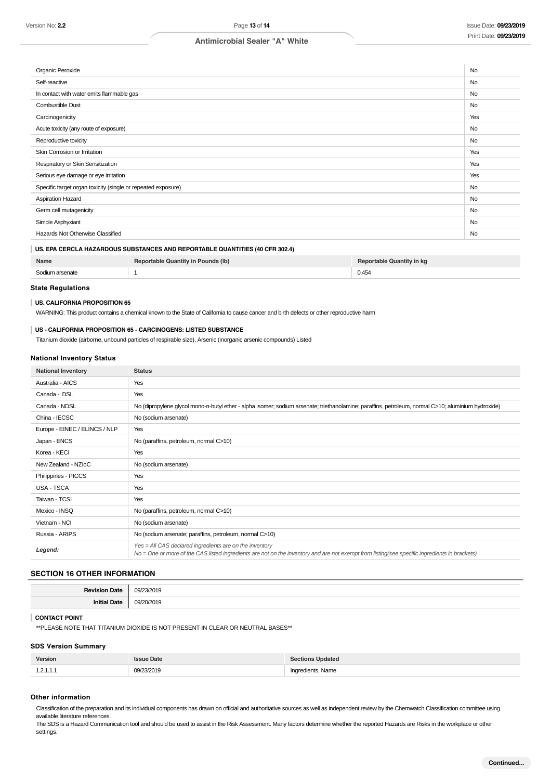| Organic Peroxide                                             | <b>No</b> |
|--------------------------------------------------------------|-----------|
| Self-reactive                                                | <b>No</b> |
| In contact with water emits flammable gas                    | <b>No</b> |
| Combustible Dust                                             | No        |
| Carcinogenicity                                              | Yes       |
| Acute toxicity (any route of exposure)                       | No        |
| Reproductive toxicity                                        | <b>No</b> |
| Skin Corrosion or Irritation                                 | Yes       |
| Respiratory or Skin Sensitization                            | Yes       |
| Serious eye damage or eye irritation                         | Yes       |
| Specific target organ toxicity (single or repeated exposure) | No        |
| Aspiration Hazard                                            | No        |
| Germ cell mutagenicity                                       | No        |
| Simple Asphyxiant                                            | No        |
| Hazards Not Otherwise Classified                             |           |

## **US. EPA CERCLA HAZARDOUS SUBSTANCES AND REPORTABLE QUANTITIES (40 CFR 302.4)**

| Name | $\tilde{g}$ (lb)<br>Juantity | ın ka |
|------|------------------------------|-------|
|      |                              | 0.454 |

## **State Regulations**

#### **US. CALIFORNIA PROPOSITION 65**

WARNING: This product contains a chemical known to the State of California to cause cancer and birth defects or other reproductive harm

## **US - CALIFORNIA PROPOSITION 65 - CARCINOGENS: LISTED SUBSTANCE**

Titanium dioxide (airborne, unbound particles of respirable size), Arsenic (inorganic arsenic compounds) Listed

## **National Inventory Status**

| <b>National Inventory</b>     | <b>Status</b>                                                                                                                                                                                            |
|-------------------------------|----------------------------------------------------------------------------------------------------------------------------------------------------------------------------------------------------------|
| Australia - AICS              | Yes                                                                                                                                                                                                      |
| Canada - DSL                  | Yes                                                                                                                                                                                                      |
| Canada - NDSL                 | No (dipropylene glycol mono-n-butyl ether - alpha isomer; sodium arsenate; triethanolamine; paraffins, petroleum, normal C>10; aluminium hydroxide)                                                      |
| China - IECSC                 | No (sodium arsenate)                                                                                                                                                                                     |
| Europe - EINEC / ELINCS / NLP | Yes                                                                                                                                                                                                      |
| Japan - ENCS                  | No (paraffins, petroleum, normal C>10)                                                                                                                                                                   |
| Korea - KECI                  | Yes                                                                                                                                                                                                      |
| New Zealand - NZIoC           | No (sodium arsenate)                                                                                                                                                                                     |
| Philippines - PICCS           | Yes                                                                                                                                                                                                      |
| USA - TSCA                    | Yes                                                                                                                                                                                                      |
| Taiwan - TCSI                 | Yes                                                                                                                                                                                                      |
| Mexico - INSQ                 | No (paraffins, petroleum, normal C>10)                                                                                                                                                                   |
| Vietnam - NCI                 | No (sodium arsenate)                                                                                                                                                                                     |
| Russia - ARIPS                | No (sodium arsenate; paraffins, petroleum, normal C>10)                                                                                                                                                  |
| Legend:                       | Yes = All CAS declared ingredients are on the inventory<br>No = One or more of the CAS listed ingredients are not on the inventory and are not exempt from listing(see specific ingredients in brackets) |

## **SECTION 16 OTHER INFORMATION**

| ют | $\sim$      |
|----|-------------|
|    | $\sim$<br>м |

#### **CONTACT POINT**

\*\*PLEASE NOTE THAT TITANIUM DIOXIDE IS NOT PRESENT IN CLEAR OR NEUTRAL BASES\*\*

## **SDS Version Summary**

| Version                       | υаτε      | <b>Updated</b> |
|-------------------------------|-----------|----------------|
| ְ<br>$\overline{\phantom{a}}$ | ንበ10<br>. | redients, Name |

## **Other information**

Classification of the preparation and its individual components has drawn on official and authoritative sources as well as independent review by the Chemwatch Classification committee using available literature references.

The SDS is a Hazard Communication tool and should be used to assist in the Risk Assessment. Many factors determine whether the reported Hazards are Risks in the workplace or other settings.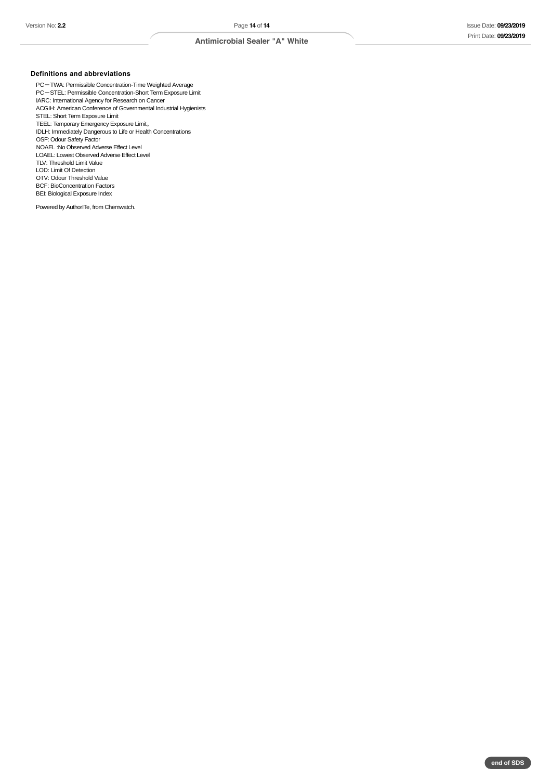## **Definitions and abbreviations**

PC-TWA: Permissible Concentration-Time Weighted Average PC-STEL: Permissible Concentration-Short Term Exposure Limit IARC: International Agency for Research on Cancer ACGIH: American Conference of Governmental Industrial Hygienists STEL: Short Term Exposure Limit TEEL: Temporary Emergency Exposure Limit。 IDLH: Immediately Dangerous to Life or Health Concentrations OSF: Odour Safety Factor NOAEL :No Observed Adverse Effect Level LOAEL: Lowest Observed Adverse Effect Level TLV: Threshold Limit Value LOD: Limit Of Detection OTV: Odour Threshold Value BCF: BioConcentration Factors BEI: Biological Exposure Index

Powered by AuthorITe, from Chemwatch.

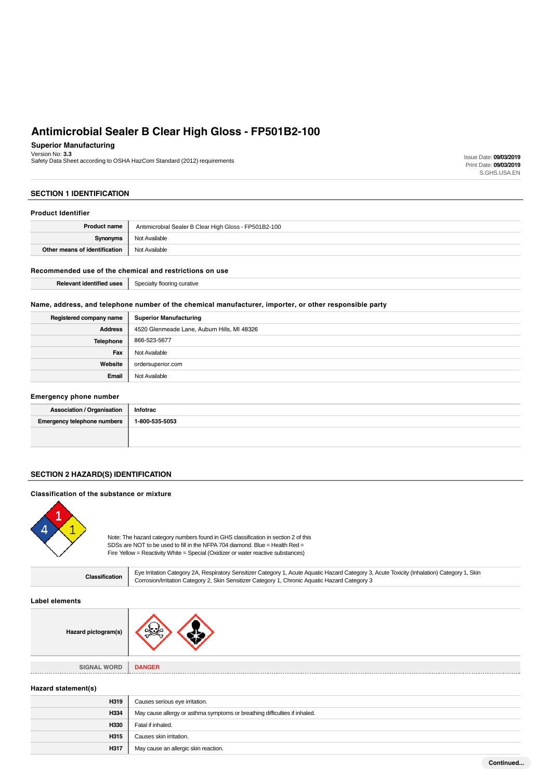## **Superior Manufacturing**

Version No: **3.3**<br>Safety Data Sheet according to OSHA HazCom Standard (2012) requirements Issue Date: **09/03/2019**<br>In the same of the communication of the communication of the communication of the communication of the comm

## **SECTION 1 IDENTIFICATION**

## **Product Identifier**

| <b>Product name</b>           | Antimicrobial Sealer B Clear High Gloss - FP501B2-100 |
|-------------------------------|-------------------------------------------------------|
| Synonyms                      | Not Available                                         |
| Other means of identification | Not Available                                         |

## **Recommended use of the chemical and restrictions on use**

| Relevant identified uses | Specialty flooring curative |
|--------------------------|-----------------------------|
|--------------------------|-----------------------------|

## **Name, address, and telephone number of the chemical manufacturer, importer, or other responsible party**

| Registered company name | <b>Superior Manufacturing</b>               |
|-------------------------|---------------------------------------------|
| <b>Address</b>          | 4520 Glenmeade Lane, Auburn Hills, MI 48326 |
| <b>Telephone</b>        | 866-523-5677                                |
| Fax                     | Not Available                               |
| Website                 | ordersuperior.com                           |
| Email                   | Not Available                               |

#### **Emergency phone number**

| <b>Association / Organisation</b>  | Infotrac       |
|------------------------------------|----------------|
| <b>Emergency telephone numbers</b> | 1-800-535-5053 |
|                                    |                |

## **SECTION 2 HAZARD(S) IDENTIFICATION**

### **Classification of the substance or mixture**



Note: The hazard category numbers found in GHS classification in section 2 of this SDSs are NOT to be used to fill in the NFPA 704 diamond. Blue = Health Red = Fire Yellow = Reactivity White = Special (Oxidizer or water reactive substances)

| Classification | Eye Irritation Category 2A, Respiratory Sensitizer Category 1, Acute Aquatic Hazard Category 3, Acute Toxicity (Inhalation) Category 1, Skin |
|----------------|----------------------------------------------------------------------------------------------------------------------------------------------|
|                | Corrosion/Irritation Category 2, Skin Sensitizer Category 1, Chronic Aquatic Hazard Category 3                                               |

**Label elements**

| <b>SIGNAL WORD</b> | <b>DANGER</b> |
|--------------------|---------------|
|                    |               |

## **Hazard statement(s)**

L,

**Hazar** 

| H319 | Causes serious eye irritation.                                             |
|------|----------------------------------------------------------------------------|
| H334 | May cause allergy or asthma symptoms or breathing difficulties if inhaled. |
| H330 | Fatal if inhaled.                                                          |
| H315 | Causes skin irritation.                                                    |
| H317 | May cause an allergic skin reaction.                                       |

Print Date: **09/03/2019** S.GHS.USA.EN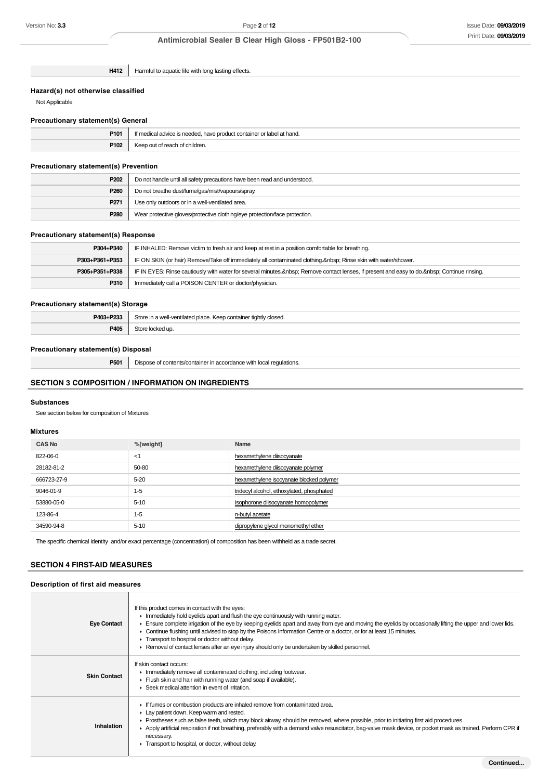**H412** Harmful to aquatic life with long lasting effects.

## **Hazard(s) not otherwise classified**

Not Applicable

## **Precautionary statement(s) General**

| P101 | " men.<br>' at hand.<br>* containe.<br>20100 |
|------|----------------------------------------------|
| P102 | hildren.<br>.                                |

## **Precautionary statement(s) Prevention**

| P <sub>202</sub> | Do not handle until all safety precautions have been read and understood.  |  |
|------------------|----------------------------------------------------------------------------|--|
| P <sub>260</sub> | Do not breathe dust/fume/gas/mist/vapours/spray.                           |  |
| P <sub>271</sub> | Use only outdoors or in a well-ventilated area.                            |  |
| P <sub>280</sub> | Wear protective gloves/protective clothing/eye protection/face protection. |  |

## **Precautionary statement(s) Response**

| P304+P340      | IF INHALED: Remove victim to fresh air and keep at rest in a position comfortable for breathing.                                   |
|----------------|------------------------------------------------------------------------------------------------------------------------------------|
| P303+P361+P353 | IF ON SKIN (or hair) Remove/Take off immediately all contaminated clothing.  Rinse skin with water/shower.                         |
| P305+P351+P338 | IF IN EYES: Rinse cautiously with water for several minutes.  Remove contact lenses, if present and easy to do.  Continue rinsing. |
| P310           | Immediately call a POISON CENTER or doctor/physician.                                                                              |

## **Precautionary statement(s) Storage**

| <b>D402 . D222</b><br>-253<br>דטטי | Store<br>tightly closed.<br>-ventilated place. Keep container<br>ıa we⊪ |
|------------------------------------|-------------------------------------------------------------------------|
| <b>P405</b>                        |                                                                         |
|                                    |                                                                         |

## **Precautionary statement(s) Disposal**

**P501** Dispose of contents/container in accordance with local regulations.

## **SECTION 3 COMPOSITION / INFORMATION ON INGREDIENTS**

#### **Substances**

See section below for composition of Mixtures

## **Mixtures**

| <b>CAS No</b> | %[weight] | Name                                      |
|---------------|-----------|-------------------------------------------|
| 822-06-0      | <1        | hexamethylene diisocyanate                |
| 28182-81-2    | 50-80     | hexamethylene diisocyanate polymer        |
| 666723-27-9   | $5 - 20$  | hexamethylene isocyanate blocked polymer  |
| 9046-01-9     | $1 - 5$   | tridecyl alcohol, ethoxylated, phosphated |
| 53880-05-0    | $5 - 10$  | isophorone diisocyanate homopolymer       |
| 123-86-4      | $1 - 5$   | n-butyl acetate                           |
| 34590-94-8    | $5 - 10$  | dipropylene glycol monomethyl ether       |

The specific chemical identity and/or exact percentage (concentration) of composition has been withheld as a trade secret.

## **SECTION 4 FIRST-AID MEASURES**

### **Description of first aid measures**

| <b>Eye Contact</b>  | If this product comes in contact with the eyes:<br>$\blacktriangleright$ Immediately hold eyelids apart and flush the eye continuously with running water.<br>Ensure complete irrigation of the eye by keeping eyelids apart and away from eye and moving the eyelids by occasionally lifting the upper and lower lids.<br>► Continue flushing until advised to stop by the Poisons Information Centre or a doctor, or for at least 15 minutes.<br>Transport to hospital or doctor without delay.<br>► Removal of contact lenses after an eye injury should only be undertaken by skilled personnel. |
|---------------------|------------------------------------------------------------------------------------------------------------------------------------------------------------------------------------------------------------------------------------------------------------------------------------------------------------------------------------------------------------------------------------------------------------------------------------------------------------------------------------------------------------------------------------------------------------------------------------------------------|
| <b>Skin Contact</b> | If skin contact occurs:<br>In mediately remove all contaminated clothing, including footwear.<br>Flush skin and hair with running water (and soap if available).<br>Seek medical attention in event of irritation.                                                                                                                                                                                                                                                                                                                                                                                   |
| Inhalation          | If fumes or combustion products are inhaled remove from contaminated area.<br>Lay patient down. Keep warm and rested.<br>► Prostheses such as false teeth, which may block airway, should be removed, where possible, prior to initiating first aid procedures.<br>Apply artificial respiration if not breathing, preferably with a demand valve resuscitator, bag-valve mask device, or pocket mask as trained. Perform CPR if<br>necessary.<br>Transport to hospital, or doctor, without delay.                                                                                                    |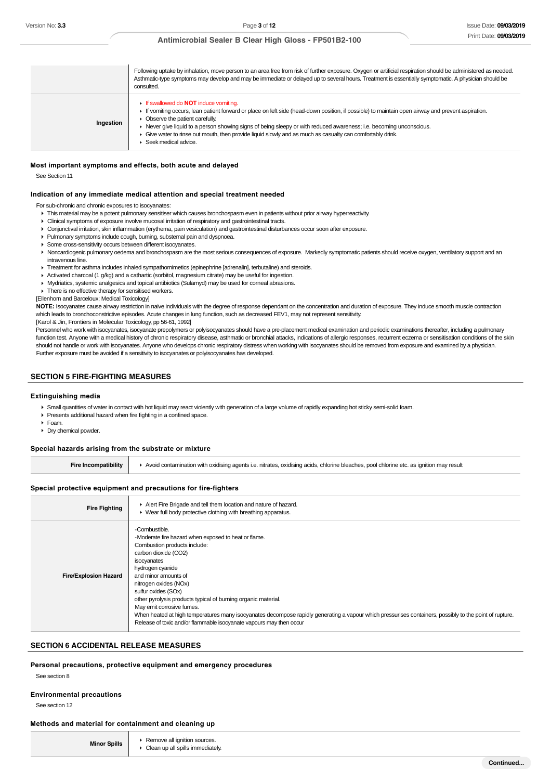|           | Following uptake by inhalation, move person to an area free from risk of further exposure. Oxygen or artificial respiration should be administered as needed.<br>Asthmatic-type symptoms may develop and may be immediate or delayed up to several hours. Treatment is essentially symptomatic. A physician should be<br>consulted.                                                                                                                                                              |
|-----------|--------------------------------------------------------------------------------------------------------------------------------------------------------------------------------------------------------------------------------------------------------------------------------------------------------------------------------------------------------------------------------------------------------------------------------------------------------------------------------------------------|
| Ingestion | <b>If swallowed do NOT induce vomiting.</b><br>If vomiting occurs, lean patient forward or place on left side (head-down position, if possible) to maintain open airway and prevent aspiration.<br>• Observe the patient carefully.<br>► Never give liquid to a person showing signs of being sleepy or with reduced awareness; i.e. becoming unconscious.<br>• Give water to rinse out mouth, then provide liquid slowly and as much as casualty can comfortably drink.<br>Seek medical advice. |

#### **Most important symptoms and effects, both acute and delayed**

See Section 11

#### **Indication of any immediate medical attention and special treatment needed**

For sub-chronic and chronic exposures to isocyanates:

- This material may be a potent pulmonary sensitiser which causes bronchospasm even in patients without prior airway hyperreactivity.
- Clinical symptoms of exposure involve mucosal irritation of respiratory and gastrointestinal tracts.
- Conjunctival irritation, skin inflammation (erythema, pain vesiculation) and gastrointestinal disturbances occur soon after exposure.
- Pulmonary symptoms include cough, burning, substernal pain and dyspnoea.
- Some cross-sensitivity occurs between different isocyanates.
- ▶ Noncardiogenic pulmonary oedema and bronchospasm are the most serious consequences of exposure. Markedly symptomatic patients should receive oxygen, ventilatory support and an intravenous line.
- Treatment for asthma includes inhaled sympathomimetics (epinephrine [adrenalin], terbutaline) and steroids.
- Activated charcoal (1 g/kg) and a cathartic (sorbitol, magnesium citrate) may be useful for ingestion.
- Mydriatics, systemic analgesics and topical antibiotics (Sulamyd) may be used for corneal abrasions.
- **There is no effective therapy for sensitised workers.**

[Ellenhorn and Barceloux; Medical Toxicology]

**NOTE:** Isocyanates cause airway restriction in naive individuals with the degree of response dependant on the concentration and duration of exposure. They induce smooth muscle contraction which leads to bronchoconstrictive episodes. Acute changes in lung function, such as decreased FEV1, may not represent sensitivity.

[Karol & Jin, Frontiers in Molecular Toxicology, pp 56-61, 1992]

Personnel who work with isocyanates, isocyanate prepolymers or polyisocyanates should have a pre-placement medical examination and periodic examinations thereafter, including a pulmonary function test. Anyone with a medical history of chronic respiratory disease, asthmatic or bronchial attacks, indications of allergic responses, recurrent eczema or sensitisation conditions of the skin should not handle or work with isocyanates. Anyone who develops chronic respiratory distress when working with isocyanates should be removed from exposure and examined by a physician. Further exposure must be avoided if a sensitivity to isocyanates or polyisocyanates has developed.

#### **SECTION 5 FIRE-FIGHTING MEASURES**

#### **Extinguishing media**

- Small quantities of water in contact with hot liquid may react violently with generation of a large volume of rapidly expanding hot sticky semi-solid foam.
- Presents additional hazard when fire fighting in a confined space.
- Foam.
- Dry chemical powder.

#### **Special hazards arising from the substrate or mixture**

|  | Avoid contamination with oxidising agents i.e. nitrates, oxidising acids, chlorine bleaches, pool chlorine etc. as ignition may result |
|--|----------------------------------------------------------------------------------------------------------------------------------------|
|--|----------------------------------------------------------------------------------------------------------------------------------------|

#### **Special protective equipment and precautions for fire-fighters**

| <b>Fire Fighting</b>         | Alert Fire Brigade and tell them location and nature of hazard.<br>▶ Wear full body protective clothing with breathing apparatus.                                                                                                                                                                                                                                                                                                                                                                                                                                        |
|------------------------------|--------------------------------------------------------------------------------------------------------------------------------------------------------------------------------------------------------------------------------------------------------------------------------------------------------------------------------------------------------------------------------------------------------------------------------------------------------------------------------------------------------------------------------------------------------------------------|
| <b>Fire/Explosion Hazard</b> | -Combustible.<br>-Moderate fire hazard when exposed to heat or flame.<br>Combustion products include:<br>carbon dioxide (CO2)<br>isocyanates<br>hydrogen cyanide<br>and minor amounts of<br>nitrogen oxides (NOx)<br>sulfur oxides (SOx)<br>other pyrolysis products typical of burning organic material.<br>May emit corrosive fumes.<br>When heated at high temperatures many isocyanates decompose rapidly generating a vapour which pressurises containers, possibly to the point of rupture.<br>Release of toxic and/or flammable isocyanate vapours may then occur |

## **SECTION 6 ACCIDENTAL RELEASE MEASURES**

#### **Personal precautions, protective equipment and emergency procedures**

See section 8

### **Environmental precautions**

See section 12

## **Methods and material for containment and cleaning up**

**Minor Spills Remove all ignition sources.** Clean up all spills immediately.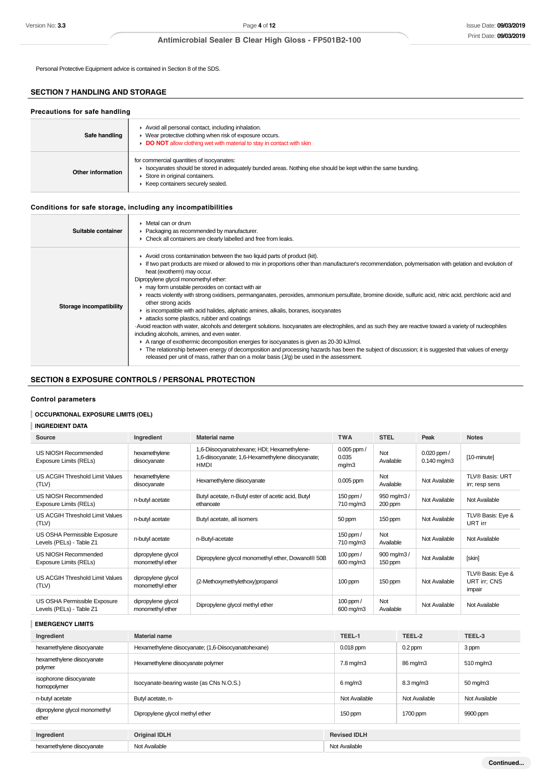Personal Protective Equipment advice is contained in Section 8 of the SDS.

## **SECTION 7 HANDLING AND STORAGE**

| Precautions for safe handling |                                                                                                                                                                                                                                      |  |  |  |  |
|-------------------------------|--------------------------------------------------------------------------------------------------------------------------------------------------------------------------------------------------------------------------------------|--|--|--|--|
| Safe handling                 | Avoid all personal contact, including inhalation.<br>• Wear protective clothing when risk of exposure occurs.<br>DO NOT allow clothing wet with material to stay in contact with skin                                                |  |  |  |  |
| Other information             | for commercial quantities of isocyanates:<br>In Isocyanates should be stored in adequately bunded areas. Nothing else should be kept within the same bunding.<br>Store in original containers.<br>▶ Keep containers securely sealed. |  |  |  |  |

## **Conditions for safe storage, including any incompatibilities**

| Suitable container      | $\triangleright$ Metal can or drum<br>• Packaging as recommended by manufacturer.<br>• Check all containers are clearly labelled and free from leaks.                                                                                                                                                                                                                                                                                                                                                                                                                                                                                                                                                                                                                                                                                                                                                                                                                                                                                                                                                                                                                                                                                             |
|-------------------------|---------------------------------------------------------------------------------------------------------------------------------------------------------------------------------------------------------------------------------------------------------------------------------------------------------------------------------------------------------------------------------------------------------------------------------------------------------------------------------------------------------------------------------------------------------------------------------------------------------------------------------------------------------------------------------------------------------------------------------------------------------------------------------------------------------------------------------------------------------------------------------------------------------------------------------------------------------------------------------------------------------------------------------------------------------------------------------------------------------------------------------------------------------------------------------------------------------------------------------------------------|
| Storage incompatibility | Avoid cross contamination between the two liquid parts of product (kit).<br>If two part products are mixed or allowed to mix in proportions other than manufacturer's recommendation, polymerisation with gelation and evolution of<br>heat (exotherm) may occur.<br>Dipropylene glycol monomethyl ether:<br>may form unstable peroxides on contact with air<br>F reacts violently with strong oxidisers, permanganates, peroxides, ammonium persulfate, bromine dioxide, sulfuric acid, nitric acid, perchloric acid and<br>other strong acids<br>is incompatible with acid halides, aliphatic amines, alkalis, boranes, isocyanates<br>attacks some plastics, rubber and coatings<br>. Avoid reaction with water, alcohols and detergent solutions. Isocyanates are electrophiles, and as such they are reactive toward a variety of nucleophiles<br>including alcohols, amines, and even water.<br>A range of exothermic decomposition energies for isocyanates is given as 20-30 kJ/mol.<br>• The relationship between energy of decomposition and processing hazards has been the subject of discussion; it is suggested that values of energy<br>released per unit of mass, rather than on a molar basis $(J/q)$ be used in the assessment. |

## **SECTION 8 EXPOSURE CONTROLS / PERSONAL PROTECTION**

## **Control parameters**

# **OCCUPATIONAL EXPOSURE LIMITS (OEL)**

**INGREDIENT DATA**

| Source                                                   | Ingredient                             | <b>Material name</b>                                                                                     | <b>TWA</b>                        | <b>STEL</b>                          | Peak                                | <b>Notes</b>                                |
|----------------------------------------------------------|----------------------------------------|----------------------------------------------------------------------------------------------------------|-----------------------------------|--------------------------------------|-------------------------------------|---------------------------------------------|
| US NIOSH Recommended<br>Exposure Limits (RELs)           | hexamethylene<br>diisocyanate          | 1,6-Diisocyanatohexane; HDI; Hexamethylene-<br>1,6-diisocyanate; 1,6-Hexamethylene diisocyanate;<br>HMDI | $0.005$ ppm $/$<br>0.035<br>mg/m3 | Not<br>Available                     | $0.020$ ppm $/$<br>$0.140$ mg/m $3$ | [10-minute]                                 |
| US ACGIH Threshold Limit Values<br>(TLV)                 | hexamethylene<br>diisocyanate          | Hexamethylene diisocyanate                                                                               | $0.005$ ppm                       | Not<br>Available                     | Not Available                       | <b>TLV® Basis: URT</b><br>irr; resp sens    |
| US NIOSH Recommended<br>Exposure Limits (RELs)           | n-butyl acetate                        | Butyl acetate, n-Butyl ester of acetic acid, Butyl<br>ethanoate                                          | 150 ppm /<br>710 mg/m3            | 950 mg/m3 /<br>200 ppm               | Not Available                       | Not Available                               |
| US ACGIH Threshold Limit Values<br>(TLV)                 | n-butyl acetate                        | Butyl acetate, all isomers                                                                               | 50 ppm                            | 150 ppm                              | Not Available                       | TLV® Basis: Eye &<br>URT irr                |
| US OSHA Permissible Exposure<br>Levels (PELs) - Table Z1 | n-butyl acetate                        | n-Butyl-acetate                                                                                          | 150 ppm /<br>710 mg/m3            | Not<br>Available                     | Not Available                       | Not Available                               |
| US NIOSH Recommended<br>Exposure Limits (RELs)           | dipropylene glycol<br>monomethyl ether | Dipropylene glycol monomethyl ether, Dowanol® 50B                                                        | 100 ppm $/$<br>600 mg/m3          | $900 \,\mathrm{mg/m}$ 3 /<br>150 ppm | Not Available                       | [skin]                                      |
| US ACGIH Threshold Limit Values<br>(TLV)                 | dipropylene glycol<br>monomethyl ether | (2-Methoxymethylethoxy)propanol                                                                          | 100 ppm                           | 150 ppm                              | Not Available                       | TLV® Basis: Eye &<br>URT irr; CNS<br>impair |
| US OSHA Permissible Exposure<br>Levels (PELs) - Table Z1 | dipropylene glycol<br>monomethyl ether | Dipropylene glycol methyl ether                                                                          | 100 ppm $/$<br>600 mg/m3          | Not<br>Available                     | Not Available                       | Not Available                               |

**EMERGENCY LIMITS**

| Ingredient                             | <b>Material name</b>                                 | TEEL-1                | TEEL-2             | TEEL-3                |
|----------------------------------------|------------------------------------------------------|-----------------------|--------------------|-----------------------|
| hexamethylene diisocyanate             | Hexamethylene diisocyanate; (1,6-Diisocyanatohexane) | $0.018$ ppm           | $0.2$ ppm          | 3 ppm                 |
| hexamethylene diisocyanate<br>polymer  | Hexamethylene diisocyanate polymer                   | $7.8 \text{ mg/m}$ 3  | 86 mg/m3           | $510 \,\mathrm{mg/m}$ |
| isophorone diisocyanate<br>homopolymer | Isocyanate-bearing waste (as CNs N.O.S.)             | $6 \,\mathrm{mq/m}$ 3 | $8.3 \text{ mg/m}$ | $50 \text{ mg/m}$ 3   |
| n-butyl acetate                        | Butyl acetate, n-                                    | Not Available         | Not Available      | Not Available         |
| dipropylene glycol monomethyl<br>ether | Dipropylene glycol methyl ether                      | 150 ppm               | 1700 ppm           | 9900 ppm              |
|                                        |                                                      |                       |                    |                       |
| Ingredient                             | <b>Original IDLH</b>                                 | <b>Revised IDLH</b>   |                    |                       |
| hexamethylene diisocyanate             | Not Available                                        | Not Available         |                    |                       |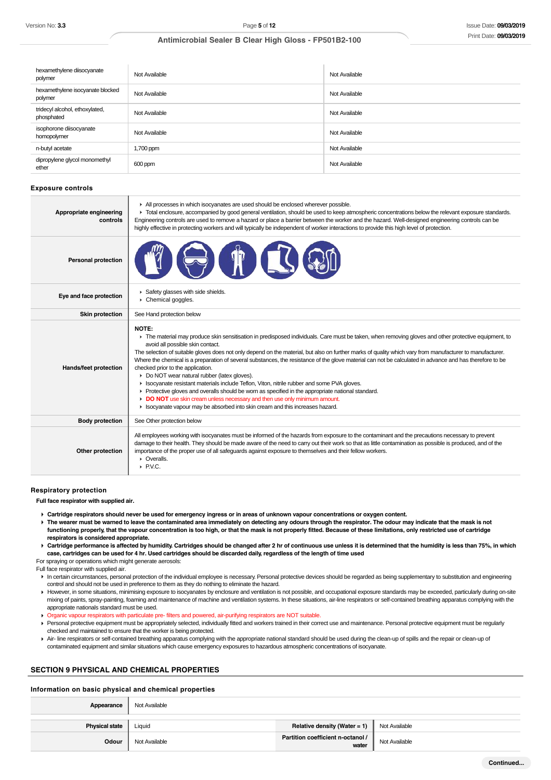| hexamethylene diisocyanate<br>polymer        | Not Available | Not Available |
|----------------------------------------------|---------------|---------------|
| hexamethylene isocyanate blocked<br>polymer  | Not Available | Not Available |
| tridecyl alcohol, ethoxylated,<br>phosphated | Not Available | Not Available |
| isophorone diisocyanate<br>homopolymer       | Not Available | Not Available |
| n-butyl acetate                              | 1,700 ppm     | Not Available |
| dipropylene glycol monomethyl<br>ether       | 600 ppm       | Not Available |

#### **Exposure controls**

| Appropriate engineering<br>controls | All processes in which isocyanates are used should be enclosed wherever possible.<br>Total enclosure, accompanied by good general ventilation, should be used to keep atmospheric concentrations below the relevant exposure standards.<br>Engineering controls are used to remove a hazard or place a barrier between the worker and the hazard. Well-designed engineering controls can be<br>highly effective in protecting workers and will typically be independent of worker interactions to provide this high level of protection.                                                                                                                                                                                                                                                                                                                                                                                                                                          |
|-------------------------------------|-----------------------------------------------------------------------------------------------------------------------------------------------------------------------------------------------------------------------------------------------------------------------------------------------------------------------------------------------------------------------------------------------------------------------------------------------------------------------------------------------------------------------------------------------------------------------------------------------------------------------------------------------------------------------------------------------------------------------------------------------------------------------------------------------------------------------------------------------------------------------------------------------------------------------------------------------------------------------------------|
| <b>Personal protection</b>          |                                                                                                                                                                                                                                                                                                                                                                                                                                                                                                                                                                                                                                                                                                                                                                                                                                                                                                                                                                                   |
| Eye and face protection             | Safety glasses with side shields.<br>Chemical goggles.                                                                                                                                                                                                                                                                                                                                                                                                                                                                                                                                                                                                                                                                                                                                                                                                                                                                                                                            |
| <b>Skin protection</b>              | See Hand protection below                                                                                                                                                                                                                                                                                                                                                                                                                                                                                                                                                                                                                                                                                                                                                                                                                                                                                                                                                         |
| Hands/feet protection               | NOTE:<br>The material may produce skin sensitisation in predisposed individuals. Care must be taken, when removing gloves and other protective equipment, to<br>avoid all possible skin contact.<br>The selection of suitable gloves does not only depend on the material, but also on further marks of quality which vary from manufacturer to manufacturer.<br>Where the chemical is a preparation of several substances, the resistance of the glove material can not be calculated in advance and has therefore to be<br>checked prior to the application.<br>Do NOT wear natural rubber (latex gloves).<br>In Isocyanate resistant materials include Teflon, Viton, nitrile rubber and some PVA gloves.<br>• Protective gloves and overalls should be worn as specified in the appropriate national standard.<br>DO NOT use skin cream unless necessary and then use only minimum amount.<br>In Isocyanate vapour may be absorbed into skin cream and this increases hazard. |
| <b>Body protection</b>              | See Other protection below                                                                                                                                                                                                                                                                                                                                                                                                                                                                                                                                                                                                                                                                                                                                                                                                                                                                                                                                                        |
| Other protection                    | All employees working with isocyanates must be informed of the hazards from exposure to the contaminant and the precautions necessary to prevent<br>damage to their health. They should be made aware of the need to carry out their work so that as little contamination as possible is produced, and of the<br>importance of the proper use of all safequards against exposure to themselves and their fellow workers.<br>• Overalls.<br>$\triangleright$ P.V.C.                                                                                                                                                                                                                                                                                                                                                                                                                                                                                                                |

## **Respiratory protection**

**Full face respirator with supplied air.** 

- **Cartridge respirators should never be used for emergency ingress or in areas of unknown vapour concentrations or oxygen content.**
- **The wearer must be warned to leave the contaminated area immediately on detecting any odours through the respirator. The odour may indicate that the mask is not functioning properly, that the vapour concentration is too high, or that the mask is not properly fitted. Because of these limitations, only restricted use of cartridge respirators is considered appropriate.**
- **Cartridge performance is affected by humidity. Cartridges should be changed after 2 hr of continuous use unless it is determined that the humidity is less than 75%, in which case, cartridges can be used for 4 hr. Used cartridges should be discarded daily, regardless of the length of time used**

For spraying or operations which might generate aerosols:

Full face respirator with supplied air.

- In certain circumstances, personal protection of the individual employee is necessary. Personal protective devices should be regarded as being supplementary to substitution and engineering control and should not be used in preference to them as they do nothing to eliminate the hazard.
- However, in some situations, minimising exposure to isocyanates by enclosure and ventilation is not possible, and occupational exposure standards may be exceeded, particularly during on-site mixing of paints, spray-painting, foaming and maintenance of machine and ventilation systems. In these situations, air-line respirators or self-contained breathing apparatus complying with the appropriate nationals standard must be used.

Organic vapour respirators with particulate pre- filters and powered, air-purifying respirators are NOT suitable.

- Personal protective equipment must be appropriately selected, individually fitted and workers trained in their correct use and maintenance. Personal protective equipment must be regularly checked and maintained to ensure that the worker is being protected.
- Air- line respirators or self-contained breathing apparatus complying with the appropriate national standard should be used during the clean-up of spills and the repair or clean-up of contaminated equipment and similar situations which cause emergency exposures to hazardous atmospheric concentrations of isocyanate.

## **SECTION 9 PHYSICAL AND CHEMICAL PROPERTIES**

#### **Information on basic physical and chemical properties**

| Appearance            | Not Available |                                                               |               |
|-----------------------|---------------|---------------------------------------------------------------|---------------|
| <b>Physical state</b> | Liauid        | <b>Relative density (Water = 1)</b> $\parallel$ Not Available |               |
| Odour                 | Not Available | Partition coefficient n-octanol /<br>water                    | Not Available |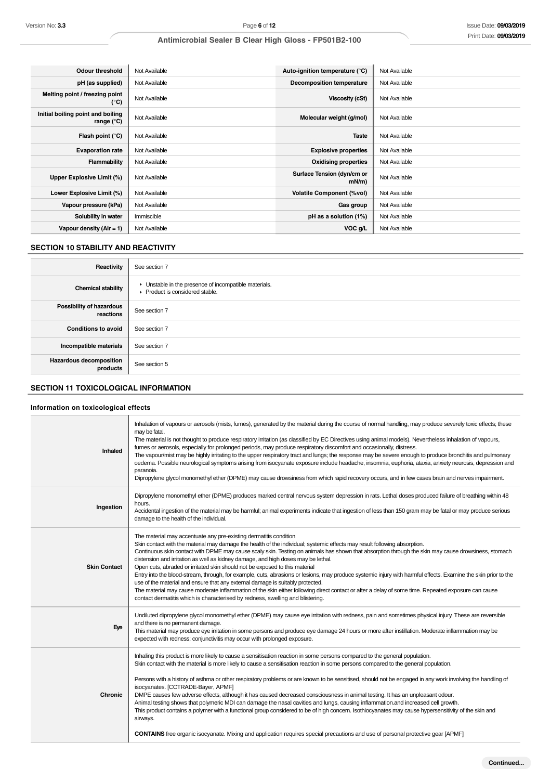| <b>Odour threshold</b>                                     | Not Available | Auto-ignition temperature (°C)      | Not Available |
|------------------------------------------------------------|---------------|-------------------------------------|---------------|
| pH (as supplied)                                           | Not Available | Decomposition temperature           | Not Available |
| Melting point / freezing point<br>(°C)                     | Not Available | <b>Viscosity (cSt)</b>              | Not Available |
| Initial boiling point and boiling<br>range ( $^{\circ}$ C) | Not Available | Molecular weight (g/mol)            | Not Available |
| Flash point $(°C)$                                         | Not Available | <b>Taste</b>                        | Not Available |
| <b>Evaporation rate</b>                                    | Not Available | <b>Explosive properties</b>         | Not Available |
| Flammability                                               | Not Available | <b>Oxidising properties</b>         | Not Available |
| Upper Explosive Limit (%)                                  | Not Available | Surface Tension (dyn/cm or<br>mN/m) | Not Available |
| Lower Explosive Limit (%)                                  | Not Available | <b>Volatile Component (%vol)</b>    | Not Available |
| Vapour pressure (kPa)                                      | Not Available | Gas group                           | Not Available |
| Solubility in water                                        | Immiscible    | pH as a solution (1%)               | Not Available |
| Vapour density $(Air = 1)$                                 | Not Available | VOC g/L                             | Not Available |

## **SECTION 10 STABILITY AND REACTIVITY**

| Reactivity                                 | See section 7                                                                            |
|--------------------------------------------|------------------------------------------------------------------------------------------|
| <b>Chemical stability</b>                  | • Unstable in the presence of incompatible materials.<br>▶ Product is considered stable. |
| Possibility of hazardous<br>reactions      | See section 7                                                                            |
| <b>Conditions to avoid</b>                 | See section 7                                                                            |
| Incompatible materials                     | See section 7                                                                            |
| <b>Hazardous decomposition</b><br>products | See section 5                                                                            |

## **SECTION 11 TOXICOLOGICAL INFORMATION**

## **Information on toxicological effects**

| Inhaled             | Inhalation of vapours or aerosols (mists, fumes), generated by the material during the course of normal handling, may produce severely toxic effects; these<br>may be fatal.<br>The material is not thought to produce respiratory irritation (as classified by EC Directives using animal models). Nevertheless inhalation of vapours,<br>fumes or aerosols, especially for prolonged periods, may produce respiratory discomfort and occasionally, distress.<br>The vapour/mist may be highly irritating to the upper respiratory tract and lungs; the response may be severe enough to produce bronchitis and pulmonary<br>oedema. Possible neurological symptoms arising from isocyanate exposure include headache, insomnia, euphoria, ataxia, anxiety neurosis, depression and<br>paranoia.<br>Dipropylene glycol monomethyl ether (DPME) may cause drowsiness from which rapid recovery occurs, and in few cases brain and nerves impairment.                                                                                               |
|---------------------|----------------------------------------------------------------------------------------------------------------------------------------------------------------------------------------------------------------------------------------------------------------------------------------------------------------------------------------------------------------------------------------------------------------------------------------------------------------------------------------------------------------------------------------------------------------------------------------------------------------------------------------------------------------------------------------------------------------------------------------------------------------------------------------------------------------------------------------------------------------------------------------------------------------------------------------------------------------------------------------------------------------------------------------------------|
| Ingestion           | Dipropylene monomethyl ether (DPME) produces marked central nervous system depression in rats. Lethal doses produced failure of breathing within 48<br>hours.<br>Accidental ingestion of the material may be harmful; animal experiments indicate that ingestion of less than 150 gram may be fatal or may produce serious<br>damage to the health of the individual.                                                                                                                                                                                                                                                                                                                                                                                                                                                                                                                                                                                                                                                                              |
| <b>Skin Contact</b> | The material may accentuate any pre-existing dermatitis condition<br>Skin contact with the material may damage the health of the individual; systemic effects may result following absorption.<br>Continuous skin contact with DPME may cause scaly skin. Testing on animals has shown that absorption through the skin may cause drowsiness, stomach<br>distension and irritation as well as kidney damage, and high doses may be lethal.<br>Open cuts, abraded or irritated skin should not be exposed to this material<br>Entry into the blood-stream, through, for example, cuts, abrasions or lesions, may produce systemic injury with harmful effects. Examine the skin prior to the<br>use of the material and ensure that any external damage is suitably protected.<br>The material may cause moderate inflammation of the skin either following direct contact or after a delay of some time. Repeated exposure can cause<br>contact dermatitis which is characterised by redness, swelling and blistering.                             |
| Eye                 | Undiluted dipropylene glycol monomethyl ether (DPME) may cause eye irritation with redness, pain and sometimes physical injury. These are reversible<br>and there is no permanent damage.<br>This material may produce eye irritation in some persons and produce eye damage 24 hours or more after instillation. Moderate inflammation may be<br>expected with redness; conjunctivitis may occur with prolonged exposure.                                                                                                                                                                                                                                                                                                                                                                                                                                                                                                                                                                                                                         |
| Chronic             | Inhaling this product is more likely to cause a sensitisation reaction in some persons compared to the general population.<br>Skin contact with the material is more likely to cause a sensitisation reaction in some persons compared to the general population.<br>Persons with a history of asthma or other respiratory problems or are known to be sensitised, should not be engaged in any work involving the handling of<br>isocyanates. [CCTRADE-Bayer, APMF]<br>DMPE causes few adverse effects, although it has caused decreased consciousness in animal testing. It has an unpleasant odour.<br>Animal testing shows that polymeric MDI can damage the nasal cavities and lungs, causing inflammation and increased cell growth.<br>This product contains a polymer with a functional group considered to be of high concern. Isothiocyanates may cause hypersensitivity of the skin and<br>airways.<br>CONTAINS free organic isocyanate. Mixing and application requires special precautions and use of personal protective gear [APMF] |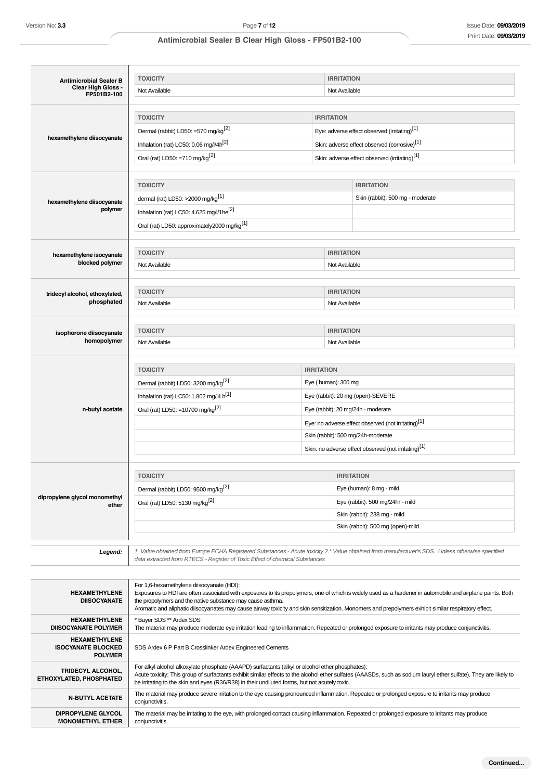| Version No: 3.3                                                     | Page 7 of 12                                                                                                                                                                                                                                                                                                                                                                                                                 |  |                                                                                                        |                                                                 | Issue Date: 09/03/2019<br>Print Date: 09/03/2019 |
|---------------------------------------------------------------------|------------------------------------------------------------------------------------------------------------------------------------------------------------------------------------------------------------------------------------------------------------------------------------------------------------------------------------------------------------------------------------------------------------------------------|--|--------------------------------------------------------------------------------------------------------|-----------------------------------------------------------------|--------------------------------------------------|
|                                                                     | Antimicrobial Sealer B Clear High Gloss - FP501B2-100                                                                                                                                                                                                                                                                                                                                                                        |  |                                                                                                        |                                                                 |                                                  |
| <b>Antimicrobial Sealer B</b>                                       | <b>TOXICITY</b>                                                                                                                                                                                                                                                                                                                                                                                                              |  | <b>IRRITATION</b>                                                                                      |                                                                 |                                                  |
| <b>Clear High Gloss -</b><br>FP501B2-100                            | Not Available                                                                                                                                                                                                                                                                                                                                                                                                                |  | Not Available                                                                                          |                                                                 |                                                  |
|                                                                     | <b>TOXICITY</b>                                                                                                                                                                                                                                                                                                                                                                                                              |  | <b>IRRITATION</b>                                                                                      |                                                                 |                                                  |
| hexamethylene diisocyanate                                          | Dermal (rabbit) LD50: =570 mg/kg <sup>[2]</sup>                                                                                                                                                                                                                                                                                                                                                                              |  | Eye: adverse effect observed (irritating) <sup>[1]</sup>                                               |                                                                 |                                                  |
|                                                                     | Inhalation (rat) LC50: 0.06 mg/l/4h <sup>[2]</sup>                                                                                                                                                                                                                                                                                                                                                                           |  | Skin: adverse effect observed (corrosive) <sup>[1]</sup>                                               |                                                                 |                                                  |
|                                                                     | Oral (rat) LD50: =710 mg/kg <sup>[2]</sup>                                                                                                                                                                                                                                                                                                                                                                                   |  |                                                                                                        | Skin: adverse effect observed (irritating) <sup>[1]</sup>       |                                                  |
|                                                                     | <b>TOXICITY</b>                                                                                                                                                                                                                                                                                                                                                                                                              |  |                                                                                                        | <b>IRRITATION</b>                                               |                                                  |
| hexamethylene diisocyanate                                          | dermal (rat) LD50: >2000 mg/kg <sup>[1]</sup>                                                                                                                                                                                                                                                                                                                                                                                |  |                                                                                                        | Skin (rabbit): 500 mg - moderate                                |                                                  |
| polymer                                                             | Inhalation (rat) LC50: 4.625 mg/l/1he <sup>[2]</sup>                                                                                                                                                                                                                                                                                                                                                                         |  |                                                                                                        |                                                                 |                                                  |
|                                                                     | Oral (rat) LD50: approximately 2000 mg/kg <sup>[1]</sup>                                                                                                                                                                                                                                                                                                                                                                     |  |                                                                                                        |                                                                 |                                                  |
| hexamethylene isocyanate                                            | <b>TOXICITY</b>                                                                                                                                                                                                                                                                                                                                                                                                              |  | <b>IRRITATION</b>                                                                                      |                                                                 |                                                  |
| blocked polymer                                                     | Not Available                                                                                                                                                                                                                                                                                                                                                                                                                |  | Not Available                                                                                          |                                                                 |                                                  |
| tridecyl alcohol, ethoxylated,                                      | <b>TOXICITY</b>                                                                                                                                                                                                                                                                                                                                                                                                              |  | <b>IRRITATION</b>                                                                                      |                                                                 |                                                  |
| phosphated                                                          | Not Available                                                                                                                                                                                                                                                                                                                                                                                                                |  | Not Available                                                                                          |                                                                 |                                                  |
| isophorone diisocyanate                                             | <b>TOXICITY</b>                                                                                                                                                                                                                                                                                                                                                                                                              |  | <b>IRRITATION</b>                                                                                      |                                                                 |                                                  |
| homopolymer                                                         | Not Available                                                                                                                                                                                                                                                                                                                                                                                                                |  | Not Available                                                                                          |                                                                 |                                                  |
|                                                                     | <b>TOXICITY</b><br><b>IRRITATION</b>                                                                                                                                                                                                                                                                                                                                                                                         |  |                                                                                                        |                                                                 |                                                  |
|                                                                     | Dermal (rabbit) LD50: 3200 mg/kg <sup>[2]</sup>                                                                                                                                                                                                                                                                                                                                                                              |  | Eye (human): 300 mg                                                                                    |                                                                 |                                                  |
|                                                                     | Inhalation (rat) LC50: 1.802 mg/l4 h <sup>[1]</sup>                                                                                                                                                                                                                                                                                                                                                                          |  | Eye (rabbit): 20 mg (open)-SEVERE                                                                      |                                                                 |                                                  |
| n-butyl acetate                                                     | Oral (rat) LD50: =10700 mg/kg <sup>[2]</sup>                                                                                                                                                                                                                                                                                                                                                                                 |  |                                                                                                        | Eye (rabbit): 20 mg/24h - moderate                              |                                                  |
|                                                                     |                                                                                                                                                                                                                                                                                                                                                                                                                              |  |                                                                                                        | Eye: no adverse effect observed (not irritating) <sup>[1]</sup> |                                                  |
|                                                                     |                                                                                                                                                                                                                                                                                                                                                                                                                              |  | Skin (rabbit): 500 mg/24h-moderate<br>Skin: no adverse effect observed (not irritating) <sup>[1]</sup> |                                                                 |                                                  |
|                                                                     |                                                                                                                                                                                                                                                                                                                                                                                                                              |  |                                                                                                        |                                                                 |                                                  |
|                                                                     | <b>TOXICITY</b>                                                                                                                                                                                                                                                                                                                                                                                                              |  | <b>IRRITATION</b>                                                                                      |                                                                 |                                                  |
|                                                                     | Dermal (rabbit) LD50: 9500 mg/kg <sup>[2]</sup>                                                                                                                                                                                                                                                                                                                                                                              |  |                                                                                                        | Eye (human): 8 mg - mild                                        |                                                  |
| dipropylene glycol monomethyl<br>ether                              | Oral (rat) LD50: 5130 mg/kg <sup>[2]</sup>                                                                                                                                                                                                                                                                                                                                                                                   |  |                                                                                                        | Eye (rabbit): 500 mg/24hr - mild                                |                                                  |
|                                                                     |                                                                                                                                                                                                                                                                                                                                                                                                                              |  |                                                                                                        | Skin (rabbit): 238 mg - mild                                    |                                                  |
|                                                                     |                                                                                                                                                                                                                                                                                                                                                                                                                              |  |                                                                                                        | Skin (rabbit): 500 mg (open)-mild                               |                                                  |
| Legend:                                                             | 1. Value obtained from Europe ECHA Registered Substances - Acute toxicity 2.* Value obtained from manufacturer's SDS. Unless otherwise specified<br>data extracted from RTECS - Register of Toxic Effect of chemical Substances                                                                                                                                                                                              |  |                                                                                                        |                                                                 |                                                  |
|                                                                     |                                                                                                                                                                                                                                                                                                                                                                                                                              |  |                                                                                                        |                                                                 |                                                  |
| <b>HEXAMETHYLENE</b><br><b>DIISOCYANATE</b>                         | For 1,6-hexamethylene diisocyanate (HDI):<br>Exposures to HDI are often associated with exposures to its prepolymers, one of which is widely used as a hardener in automobile and airplane paints. Both<br>the prepolymers and the native substance may cause asthma.<br>Aromatic and aliphatic diisocyanates may cause airway toxicity and skin sensitization. Monomers and prepolymers exhibit similar respiratory effect. |  |                                                                                                        |                                                                 |                                                  |
| <b>HEXAMETHYLENE</b><br><b>DIISOCYANATE POLYMER</b>                 | * Bayer SDS ** Ardex SDS<br>The material may produce moderate eye irritation leading to inflammation. Repeated or prolonged exposure to irritants may produce conjunctivitis.                                                                                                                                                                                                                                                |  |                                                                                                        |                                                                 |                                                  |
| <b>HEXAMETHYLENE</b><br><b>ISOCYANATE BLOCKED</b><br><b>POLYMER</b> | SDS Ardex 6 P Part B Crosslinker Ardex Engineered Cements                                                                                                                                                                                                                                                                                                                                                                    |  |                                                                                                        |                                                                 |                                                  |
| TRIDECYL ALCOHOL,<br>ETHOXYLATED, PHOSPHATED                        | For alkyl alcohol alkoxylate phosphate (AAAPD) surfactants (alkyl or alcohol ether phosphates):<br>Acute toxicity: This group of surfactants exhibit similar effects to the alcohol ether sulfates (AAASDs, such as sodium lauryl ether sulfate). They are likely to<br>be irritating to the skin and eyes (R36/R38) in their undiluted forms, but not acutely toxic.                                                        |  |                                                                                                        |                                                                 |                                                  |
| <b>N-BUTYL ACETATE</b>                                              | The material may produce severe irritation to the eye causing pronounced inflammation. Repeated or prolonged exposure to irritants may produce<br>conjunctivitis.                                                                                                                                                                                                                                                            |  |                                                                                                        |                                                                 |                                                  |
| <b>DIPROPYLENE GLYCOL</b><br><b>MONOMETHYL ETHER</b>                | The material may be irritating to the eye, with prolonged contact causing inflammation. Repeated or prolonged exposure to irritants may produce<br>conjunctivitis.                                                                                                                                                                                                                                                           |  |                                                                                                        |                                                                 |                                                  |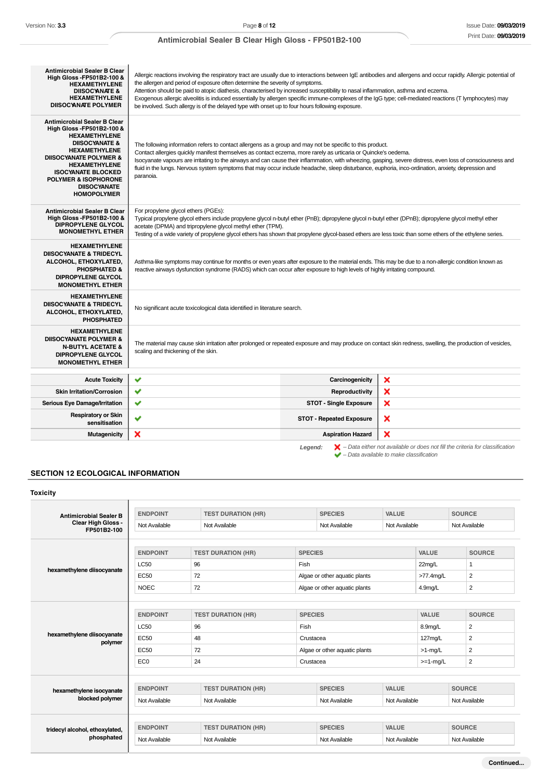| <b>Antimicrobial Sealer B Clear</b><br>High Gloss -FP501B2-100 &<br><b>HEXAMETHYLENE</b><br><b>DIISOCYANATE &amp;</b><br><b>HEXAMETHYLENE</b><br><b>DIISOCYANATE POLYMER</b>                                                                                                                                     | Allergic reactions involving the respiratory tract are usually due to interactions between IgE antibodies and allergens and occur rapidly. Allergic potential of<br>the allergen and period of exposure often determine the severity of symptoms.<br>Attention should be paid to atopic diathesis, characterised by increased susceptibility to nasal inflammation, asthma and eczema.<br>Exogenous allergic alveolitis is induced essentially by allergen specific immune-complexes of the IgG type; cell-mediated reactions (T lymphocytes) may<br>be involved. Such allergy is of the delayed type with onset up to four hours following exposure. |                                 |                                                                                                    |
|------------------------------------------------------------------------------------------------------------------------------------------------------------------------------------------------------------------------------------------------------------------------------------------------------------------|-------------------------------------------------------------------------------------------------------------------------------------------------------------------------------------------------------------------------------------------------------------------------------------------------------------------------------------------------------------------------------------------------------------------------------------------------------------------------------------------------------------------------------------------------------------------------------------------------------------------------------------------------------|---------------------------------|----------------------------------------------------------------------------------------------------|
| Antimicrobial Sealer B Clear<br>High Gloss -FP501B2-100 &<br><b>HEXAMETHYLENE</b><br><b>DIISOCYANATE &amp;</b><br><b>HEXAMETHYLENE</b><br><b>DIISOCYANATE POLYMER &amp;</b><br><b>HEXAMETHYLENE</b><br><b>ISOCYANATE BLOCKED</b><br><b>POLYMER &amp; ISOPHORONE</b><br><b>DIISOCYANATE</b><br><b>HOMOPOLYMER</b> | The following information refers to contact allergens as a group and may not be specific to this product.<br>Contact allergies quickly manifest themselves as contact eczema, more rarely as urticaria or Quincke's oedema.<br>Isocyanate vapours are irritating to the airways and can cause their inflammation, with wheezing, gasping, severe distress, even loss of consciousness and<br>fluid in the lungs. Nervous system symptoms that may occur include headache, sleep disturbance, euphoria, inco-ordination, anxiety, depression and<br>paranoia.                                                                                          |                                 |                                                                                                    |
| <b>Antimicrobial Sealer B Clear</b><br>High Gloss - FP501B2-100 &<br><b>DIPROPYLENE GLYCOL</b><br><b>MONOMETHYL ETHER</b>                                                                                                                                                                                        | For propylene glycol ethers (PGEs):<br>Typical propylene glycol ethers include propylene glycol n-butyl ether (PnB); dipropylene glycol n-butyl ether (DPnB); dipropylene glycol methyl ether<br>acetate (DPMA) and tripropylene glycol methyl ether (TPM).<br>Testing of a wide variety of propylene glycol ethers has shown that propylene glycol-based ethers are less toxic than some ethers of the ethylene series.                                                                                                                                                                                                                              |                                 |                                                                                                    |
| <b>HEXAMETHYLENE</b><br><b>DIISOCYANATE &amp; TRIDECYL</b><br>ALCOHOL, ETHOXYLATED,<br><b>PHOSPHATED &amp;</b><br><b>DIPROPYLENE GLYCOL</b><br><b>MONOMETHYL ETHER</b>                                                                                                                                           | Asthma-like symptoms may continue for months or even years after exposure to the material ends. This may be due to a non-allergic condition known as<br>reactive airways dysfunction syndrome (RADS) which can occur after exposure to high levels of highly irritating compound.                                                                                                                                                                                                                                                                                                                                                                     |                                 |                                                                                                    |
| <b>HEXAMETHYLENE</b><br><b>DIISOCYANATE &amp; TRIDECYL</b><br>ALCOHOL, ETHOXYLATED,<br><b>PHOSPHATED</b>                                                                                                                                                                                                         | No significant acute toxicological data identified in literature search.                                                                                                                                                                                                                                                                                                                                                                                                                                                                                                                                                                              |                                 |                                                                                                    |
| <b>HEXAMETHYLENE</b><br><b>DIISOCYANATE POLYMER &amp;</b><br><b>N-BUTYL ACETATE &amp;</b><br><b>DIPROPYLENE GLYCOL</b><br><b>MONOMETHYL ETHER</b>                                                                                                                                                                | The material may cause skin irritation after prolonged or repeated exposure and may produce on contact skin redness, swelling, the production of vesicles,<br>scaling and thickening of the skin.                                                                                                                                                                                                                                                                                                                                                                                                                                                     |                                 |                                                                                                    |
| <b>Acute Toxicity</b>                                                                                                                                                                                                                                                                                            | ◡                                                                                                                                                                                                                                                                                                                                                                                                                                                                                                                                                                                                                                                     | Carcinogenicity                 | ×                                                                                                  |
| <b>Skin Irritation/Corrosion</b>                                                                                                                                                                                                                                                                                 | ✔                                                                                                                                                                                                                                                                                                                                                                                                                                                                                                                                                                                                                                                     | Reproductivity                  | ×                                                                                                  |
| <b>Serious Eye Damage/Irritation</b>                                                                                                                                                                                                                                                                             | ✔                                                                                                                                                                                                                                                                                                                                                                                                                                                                                                                                                                                                                                                     | <b>STOT - Single Exposure</b>   | ×                                                                                                  |
| <b>Respiratory or Skin</b><br>sensitisation                                                                                                                                                                                                                                                                      | ✔                                                                                                                                                                                                                                                                                                                                                                                                                                                                                                                                                                                                                                                     | <b>STOT - Repeated Exposure</b> | ×                                                                                                  |
| <b>Mutagenicity</b>                                                                                                                                                                                                                                                                                              | ×                                                                                                                                                                                                                                                                                                                                                                                                                                                                                                                                                                                                                                                     | <b>Aspiration Hazard</b>        | ×                                                                                                  |
|                                                                                                                                                                                                                                                                                                                  |                                                                                                                                                                                                                                                                                                                                                                                                                                                                                                                                                                                                                                                       | Legend:                         | $\blacktriangleright$ - Data either not available or does not fill the criteria for classification |

## **SECTION 12 ECOLOGICAL INFORMATION**

**Toxicity Antimicrobial Sealer B Clear High Gloss - FP501B2-100 ENDPOINT TEST DURATION (HR) SPECIES VALUE SOURCE** Not Available Not Available Not Available Not Available Not Available Not Available Not Available **hexamethylene diisocyanate ENDPOINT TEST DURATION (HR) SPECIES VALUE SOURCE**  $\left\lfloor \frac{1}{6} \right\rfloor$   $\left\lfloor \frac{96}{10} \right\rfloor$   $\left\lfloor \frac{1}{10} \right\rfloor$   $\left\lfloor \frac{1}{10} \right\rfloor$   $\left\lfloor \frac{1}{10} \right\rfloor$   $\left\lfloor \frac{1}{10} \right\rfloor$   $\left\lfloor \frac{1}{10} \right\rfloor$   $\left\lfloor \frac{1}{10} \right\rfloor$   $\left\lfloor \frac{1}{10} \right\rfloor$   $\left\lfloor \frac{1}{10} \right\rfloor$   $\left\lfloor \frac{1}{$ EC50 72 Algae or other aquatic plants >77.4mg/L 2 NOEC 72 Algae or other aquatic plants 4.9mg/L 2 **hexamethylene diisocyanate polymer ENDPOINT TEST DURATION (HR) SPECIES VALUE SOURCE**  $\begin{array}{|c|c|c|c|c|}\n \hline\n \text{LCS0} & & \text{96} & \text{Fish} & & \text{2} \\
\hline\n \end{array}$  $EC50$  48 Crustacea  $\qquad$  Crustacea 127mg/L 2 EC50 72 Algae or other aquatic plants >1-mg/L 2  $EC0$  24 24 Crustacea  $=$   $\frac{1}{2}$ **hexamethylene isocyanate blocked polymer ENDPOINT TEST DURATION (HR) SPECIES VALUE SOURCE** Not Available Not Available Not Available Not Available Not Available **tridecyl alcohol, ethoxylated, phosphated ENDPOINT TEST DURATION (HR) SPECIES VALUE SOURCE** Not Available Not Available Not Available Not Available Not Available Not Available Not Available

 $\blacktriangleright$  – Data available to make classification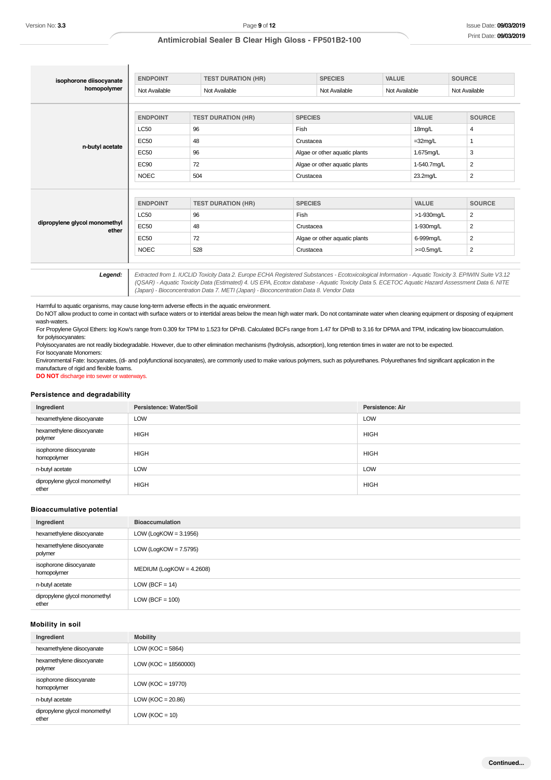| Version No: 3.3                                                                                                          |                                                      | Page 9 of 12                                                                                                                                                                                                                                                                                                                                                               |                               |                  |              | Issue Date: 09/03/2019 |
|--------------------------------------------------------------------------------------------------------------------------|------------------------------------------------------|----------------------------------------------------------------------------------------------------------------------------------------------------------------------------------------------------------------------------------------------------------------------------------------------------------------------------------------------------------------------------|-------------------------------|------------------|--------------|------------------------|
|                                                                                                                          |                                                      | Antimicrobial Sealer B Clear High Gloss - FP501B2-100                                                                                                                                                                                                                                                                                                                      |                               |                  |              | Print Date: 09/03/2019 |
|                                                                                                                          |                                                      |                                                                                                                                                                                                                                                                                                                                                                            |                               |                  |              |                        |
|                                                                                                                          | <b>ENDPOINT</b>                                      | <b>TEST DURATION (HR)</b>                                                                                                                                                                                                                                                                                                                                                  | <b>SPECIES</b>                | <b>VALUE</b>     |              | <b>SOURCE</b>          |
| isophorone diisocyanate<br>homopolymer                                                                                   | Not Available                                        | Not Available                                                                                                                                                                                                                                                                                                                                                              | Not Available                 | Not Available    |              | Not Available          |
|                                                                                                                          |                                                      |                                                                                                                                                                                                                                                                                                                                                                            |                               |                  |              |                        |
|                                                                                                                          | <b>ENDPOINT</b>                                      | <b>TEST DURATION (HR)</b>                                                                                                                                                                                                                                                                                                                                                  | <b>SPECIES</b>                |                  | VALUE        | <b>SOURCE</b>          |
|                                                                                                                          | <b>LC50</b>                                          | 96                                                                                                                                                                                                                                                                                                                                                                         | Fish                          |                  | 18mg/L       | 4                      |
|                                                                                                                          | <b>EC50</b>                                          | 48                                                                                                                                                                                                                                                                                                                                                                         | Crustacea                     |                  | $=32$ mg/L   | 1                      |
| n-butyl acetate                                                                                                          | <b>EC50</b>                                          | 96                                                                                                                                                                                                                                                                                                                                                                         | Algae or other aquatic plants |                  | 1.675mg/L    | 3                      |
|                                                                                                                          | <b>EC90</b>                                          | 72                                                                                                                                                                                                                                                                                                                                                                         | Algae or other aquatic plants |                  | 1-540.7mg/L  | $\overline{2}$         |
|                                                                                                                          | <b>NOEC</b>                                          | 504                                                                                                                                                                                                                                                                                                                                                                        | Crustacea                     |                  | 23.2mg/L     | 2                      |
|                                                                                                                          |                                                      |                                                                                                                                                                                                                                                                                                                                                                            |                               |                  |              |                        |
|                                                                                                                          | <b>ENDPOINT</b>                                      | <b>TEST DURATION (HR)</b>                                                                                                                                                                                                                                                                                                                                                  | <b>SPECIES</b>                |                  | VALUE        | <b>SOURCE</b>          |
| dipropylene glycol monomethyl                                                                                            | <b>LC50</b>                                          | 96                                                                                                                                                                                                                                                                                                                                                                         | Fish                          |                  | >1-930mg/L   | 2                      |
| ether                                                                                                                    | <b>EC50</b>                                          | 48                                                                                                                                                                                                                                                                                                                                                                         | Crustacea                     |                  | 1-930mg/L    | $\overline{c}$         |
|                                                                                                                          | <b>EC50</b>                                          | 72                                                                                                                                                                                                                                                                                                                                                                         | Algae or other aquatic plants |                  | 6-999mg/L    | $\overline{2}$         |
|                                                                                                                          | <b>NOEC</b>                                          | 528                                                                                                                                                                                                                                                                                                                                                                        | Crustacea                     |                  | $>=0.5$ mg/L | $\overline{2}$         |
| For Isocyanate Monomers:<br>manufacture of rigid and flexible foams.<br><b>DO NOT</b> discharge into sewer or waterways. |                                                      | Polyisocyanates are not readily biodegradable. However, due to other elimination mechanisms (hydrolysis, adsorption), long retention times in water are not to be expected.<br>Environmental Fate: Isocyanates, (di- and polyfunctional isocyanates), are commonly used to make various polymers, such as polyurethanes. Polyurethanes find significant application in the |                               |                  |              |                        |
| Persistence and degradability                                                                                            |                                                      |                                                                                                                                                                                                                                                                                                                                                                            |                               |                  |              |                        |
| Ingredient                                                                                                               | Persistence: Water/Soil                              |                                                                                                                                                                                                                                                                                                                                                                            |                               | Persistence: Air |              |                        |
| hexamethylene diisocyanate                                                                                               | <b>LOW</b>                                           |                                                                                                                                                                                                                                                                                                                                                                            |                               | <b>LOW</b>       |              |                        |
| hexamethylene diisocyanate<br>polymer                                                                                    | <b>HIGH</b>                                          |                                                                                                                                                                                                                                                                                                                                                                            |                               | <b>HIGH</b>      |              |                        |
| isophorone diisocyanate<br>homopolymer                                                                                   | <b>HIGH</b>                                          |                                                                                                                                                                                                                                                                                                                                                                            |                               | <b>HIGH</b>      |              |                        |
| n-butyl acetate                                                                                                          | LOW                                                  |                                                                                                                                                                                                                                                                                                                                                                            |                               | LOW              |              |                        |
| dipropylene glycol monomethyl<br>ether                                                                                   | <b>HIGH</b>                                          |                                                                                                                                                                                                                                                                                                                                                                            |                               | <b>HIGH</b>      |              |                        |
|                                                                                                                          |                                                      |                                                                                                                                                                                                                                                                                                                                                                            |                               |                  |              |                        |
| <b>Bioaccumulative potential</b>                                                                                         |                                                      |                                                                                                                                                                                                                                                                                                                                                                            |                               |                  |              |                        |
| Ingredient                                                                                                               | <b>Bioaccumulation</b>                               |                                                                                                                                                                                                                                                                                                                                                                            |                               |                  |              |                        |
| hexamethylene diisocyanate<br>hexamethylene diisocyanate                                                                 | LOW (LogKOW = $3.1956$ )<br>LOW (LogKOW = $7.5795$ ) |                                                                                                                                                                                                                                                                                                                                                                            |                               |                  |              |                        |
| polymer<br>isophorone diisocyanate                                                                                       |                                                      |                                                                                                                                                                                                                                                                                                                                                                            |                               |                  |              |                        |
| homopolymer                                                                                                              | $MEDIUM (LogKOW = 4.2608)$                           |                                                                                                                                                                                                                                                                                                                                                                            |                               |                  |              |                        |
| n-butyl acetate<br>dipropylene glycol monomethyl                                                                         | $LOW (BCF = 14)$                                     |                                                                                                                                                                                                                                                                                                                                                                            |                               |                  |              |                        |
| ether                                                                                                                    | $LOW (BCF = 100)$                                    |                                                                                                                                                                                                                                                                                                                                                                            |                               |                  |              |                        |
| Mobility in soil                                                                                                         |                                                      |                                                                                                                                                                                                                                                                                                                                                                            |                               |                  |              |                        |
| Ingredient                                                                                                               |                                                      |                                                                                                                                                                                                                                                                                                                                                                            |                               |                  |              |                        |
| hexamethylene diisocyanate                                                                                               | <b>Mobility</b>                                      |                                                                                                                                                                                                                                                                                                                                                                            |                               |                  |              |                        |
| hexamethylene diisocyanate<br>polymer                                                                                    | LOW ( $KOC = 5864$ )                                 |                                                                                                                                                                                                                                                                                                                                                                            |                               |                  |              |                        |
|                                                                                                                          | $LOW (KOC = 18560000)$                               |                                                                                                                                                                                                                                                                                                                                                                            |                               |                  |              |                        |
|                                                                                                                          | LOW ( $KOC = 19770$ )                                |                                                                                                                                                                                                                                                                                                                                                                            |                               |                  |              |                        |
|                                                                                                                          |                                                      |                                                                                                                                                                                                                                                                                                                                                                            |                               |                  |              |                        |
| isophorone diisocyanate<br>homopolymer<br>n-butyl acetate<br>dipropylene glycol monomethyl<br>ether                      | LOW ( $KOC = 20.86$ )<br>$LOW (KOC = 10)$            |                                                                                                                                                                                                                                                                                                                                                                            |                               |                  |              |                        |

## **Persistence and degradability**

| Ingredient                             | Persistence: Water/Soil | Persistence: Air |
|----------------------------------------|-------------------------|------------------|
| hexamethylene diisocyanate             | <b>LOW</b>              | <b>LOW</b>       |
| hexamethylene diisocyanate<br>polymer  | <b>HIGH</b>             | <b>HIGH</b>      |
| isophorone diisocyanate<br>homopolymer | <b>HIGH</b>             | <b>HIGH</b>      |
| n-butyl acetate                        | <b>LOW</b>              | <b>LOW</b>       |
| dipropylene glycol monomethyl<br>ether | <b>HIGH</b>             | <b>HIGH</b>      |

#### **Bioaccumulative potential**

| Ingredient                             | <b>Bioaccumulation</b>      |
|----------------------------------------|-----------------------------|
| hexamethylene diisocyanate             | $LOW (LogKOW = 3.1956)$     |
| hexamethylene diisocyanate<br>polymer  | LOW (LogKOW = $7.5795$ )    |
| isophorone diisocyanate<br>homopolymer | MEDIUM (LogKOW = $4.2608$ ) |
| n-butyl acetate                        | $LOW (BCF = 14)$            |
| dipropylene glycol monomethyl<br>ether | $LOW (BCF = 100)$           |

## **Mobility in soil**

| Ingredient                             | <b>Mobility</b>        |
|----------------------------------------|------------------------|
| hexamethylene diisocyanate             | LOW ( $KOC = 5864$ )   |
| hexamethylene diisocyanate<br>polymer  | $LOW (KOC = 18560000)$ |
| isophorone diisocyanate<br>homopolymer | LOW ( $KOC = 19770$ )  |
| n-butyl acetate                        | LOW ( $KOC = 20.86$ )  |
| dipropylene glycol monomethyl<br>ether | $LOW (KOC = 10)$       |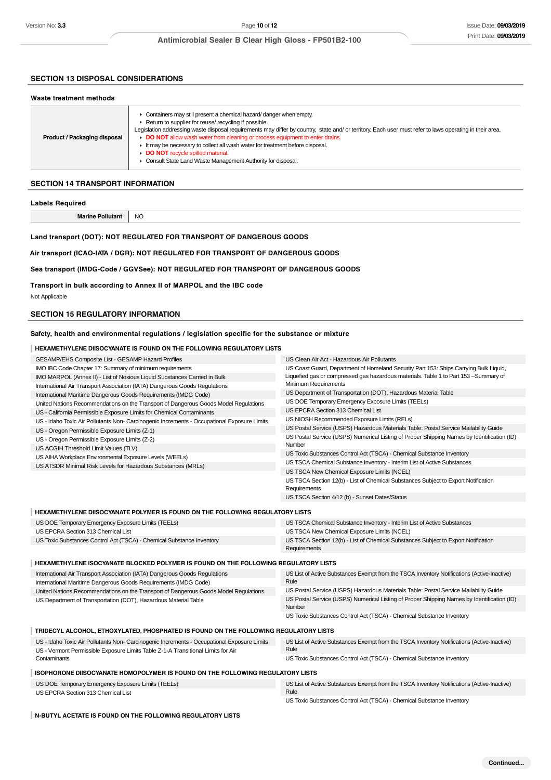## **SECTION 13 DISPOSAL CONSIDERATIONS**

#### **Waste treatment methods**

| Product / Packaging disposal | Containers may still present a chemical hazard/ danger when empty.<br>Return to supplier for reuse/ recycling if possible.<br>Legislation addressing waste disposal requirements may differ by country, state and/ or territory. Each user must refer to laws operating in their area.<br>DO NOT allow wash water from cleaning or process equipment to enter drains.<br>It may be necessary to collect all wash water for treatment before disposal.<br><b>DO NOT</b> recycle spilled material.<br>Consult State Land Waste Management Authority for disposal. |
|------------------------------|-----------------------------------------------------------------------------------------------------------------------------------------------------------------------------------------------------------------------------------------------------------------------------------------------------------------------------------------------------------------------------------------------------------------------------------------------------------------------------------------------------------------------------------------------------------------|
|------------------------------|-----------------------------------------------------------------------------------------------------------------------------------------------------------------------------------------------------------------------------------------------------------------------------------------------------------------------------------------------------------------------------------------------------------------------------------------------------------------------------------------------------------------------------------------------------------------|

## **SECTION 14 TRANSPORT INFORMATION**

## **Labels Required**

## **Land transport (DOT): NOT REGULATED FOR TRANSPORT OF DANGEROUS GOODS**

## **Air transport (ICAO-IATA / DGR): NOT REGULATED FOR TRANSPORT OF DANGEROUS GOODS**

## **Sea transport (IMDG-Code / GGVSee): NOT REGULATED FOR TRANSPORT OF DANGEROUS GOODS**

## **SECTION 15 REGULATORY INFORMATION**

## **Safety, health and environmental regulations / legislation specific for the substance or mixture**

## **HEXAMETHYLENE DIISOCYANATE IS FOUND ON THE FOLLOWING REGULATORY LISTS**

| Version No: <b>3.3</b>                                                                                                                                  | Page 10 of 12                                                                                                                                                                                                                                                                                                                                                                                                                                                                                                           | Issue Date: 09/03/2019 |  |
|---------------------------------------------------------------------------------------------------------------------------------------------------------|-------------------------------------------------------------------------------------------------------------------------------------------------------------------------------------------------------------------------------------------------------------------------------------------------------------------------------------------------------------------------------------------------------------------------------------------------------------------------------------------------------------------------|------------------------|--|
|                                                                                                                                                         | Antimicrobial Sealer B Clear High Gloss - FP501B2-100                                                                                                                                                                                                                                                                                                                                                                                                                                                                   | Print Date: 09/03/2019 |  |
|                                                                                                                                                         |                                                                                                                                                                                                                                                                                                                                                                                                                                                                                                                         |                        |  |
| <b>SECTION 13 DISPOSAL CONSIDERATIONS</b>                                                                                                               |                                                                                                                                                                                                                                                                                                                                                                                                                                                                                                                         |                        |  |
| Waste treatment methods                                                                                                                                 |                                                                                                                                                                                                                                                                                                                                                                                                                                                                                                                         |                        |  |
| <b>Product / Packaging disposal</b><br>DO NOT recycle spilled material.                                                                                 | • Containers may still present a chemical hazard/danger when empty.<br>Return to supplier for reuse/ recycling if possible.<br>Legislation addressing waste disposal requirements may differ by country, state and/ or territory. Each user must refer to laws operating in their area.<br>• DO NOT allow wash water from cleaning or process equipment to enter drains.<br>It may be necessary to collect all wash water for treatment before disposal.<br>Consult State Land Waste Management Authority for disposal. |                        |  |
| <b>SECTION 14 TRANSPORT INFORMATION</b>                                                                                                                 |                                                                                                                                                                                                                                                                                                                                                                                                                                                                                                                         |                        |  |
| <b>Labels Required</b>                                                                                                                                  |                                                                                                                                                                                                                                                                                                                                                                                                                                                                                                                         |                        |  |
| <b>Marine Pollutant</b><br>NO.                                                                                                                          |                                                                                                                                                                                                                                                                                                                                                                                                                                                                                                                         |                        |  |
|                                                                                                                                                         |                                                                                                                                                                                                                                                                                                                                                                                                                                                                                                                         |                        |  |
| Land transport (DOT): NOT REGULATED FOR TRANSPORT OF DANGEROUS GOODS                                                                                    |                                                                                                                                                                                                                                                                                                                                                                                                                                                                                                                         |                        |  |
| Air transport (ICAO-IATA / DGR): NOT REGULATED FOR TRANSPORT OF DANGEROUS GOODS                                                                         |                                                                                                                                                                                                                                                                                                                                                                                                                                                                                                                         |                        |  |
| Sea transport (IMDG-Code / GGVSee): NOT REGULATED FOR TRANSPORT OF DANGEROUS GOODS                                                                      |                                                                                                                                                                                                                                                                                                                                                                                                                                                                                                                         |                        |  |
| Transport in bulk according to Annex II of MARPOL and the IBC code                                                                                      |                                                                                                                                                                                                                                                                                                                                                                                                                                                                                                                         |                        |  |
| Not Applicable                                                                                                                                          |                                                                                                                                                                                                                                                                                                                                                                                                                                                                                                                         |                        |  |
| <b>SECTION 15 REGULATORY INFORMATION</b>                                                                                                                |                                                                                                                                                                                                                                                                                                                                                                                                                                                                                                                         |                        |  |
| Safety, health and environmental regulations / legislation specific for the substance or mixture                                                        |                                                                                                                                                                                                                                                                                                                                                                                                                                                                                                                         |                        |  |
| HEXAMETHYLENE DIISOCYANATE IS FOUND ON THE FOLLOWING REGULATORY LISTS                                                                                   |                                                                                                                                                                                                                                                                                                                                                                                                                                                                                                                         |                        |  |
| GESAMP/EHS Composite List - GESAMP Hazard Profiles                                                                                                      | US Clean Air Act - Hazardous Air Pollutants                                                                                                                                                                                                                                                                                                                                                                                                                                                                             |                        |  |
| IMO IBC Code Chapter 17: Summary of minimum requirements                                                                                                | US Coast Guard, Department of Homeland Security Part 153: Ships Carrying Bulk Liquid,                                                                                                                                                                                                                                                                                                                                                                                                                                   |                        |  |
| IMO MARPOL (Annex II) - List of Noxious Liquid Substances Carried in Bulk                                                                               | Liquefied gas or compressed gas hazardous materials. Table 1 to Part 153 -- Summary of<br>Minimum Requirements                                                                                                                                                                                                                                                                                                                                                                                                          |                        |  |
| International Air Transport Association (IATA) Dangerous Goods Regulations<br>International Maritime Dangerous Goods Requirements (IMDG Code)           | US Department of Transportation (DOT), Hazardous Material Table                                                                                                                                                                                                                                                                                                                                                                                                                                                         |                        |  |
| United Nations Recommendations on the Transport of Dangerous Goods Model Regulations                                                                    | US DOE Temporary Emergency Exposure Limits (TEELs)                                                                                                                                                                                                                                                                                                                                                                                                                                                                      |                        |  |
| US - California Permissible Exposure Limits for Chemical Contaminants                                                                                   | US EPCRA Section 313 Chemical List                                                                                                                                                                                                                                                                                                                                                                                                                                                                                      |                        |  |
| US - Idaho Toxic Air Pollutants Non- Carcinogenic Increments - Occupational Exposure Limits                                                             | US NIOSH Recommended Exposure Limits (RELs)                                                                                                                                                                                                                                                                                                                                                                                                                                                                             |                        |  |
| US - Oregon Permissible Exposure Limits (Z-1)                                                                                                           | US Postal Service (USPS) Hazardous Materials Table: Postal Service Mailability Guide<br>US Postal Service (USPS) Numerical Listing of Proper Shipping Names by Identification (ID)                                                                                                                                                                                                                                                                                                                                      |                        |  |
| US - Oregon Permissible Exposure Limits (Z-2)                                                                                                           | Number                                                                                                                                                                                                                                                                                                                                                                                                                                                                                                                  |                        |  |
| US ACGIH Threshold Limit Values (TLV)<br>US AIHA Workplace Environmental Exposure Levels (WEELs)                                                        | US Toxic Substances Control Act (TSCA) - Chemical Substance Inventory                                                                                                                                                                                                                                                                                                                                                                                                                                                   |                        |  |
| US ATSDR Minimal Risk Levels for Hazardous Substances (MRLs)                                                                                            | US TSCA Chemical Substance Inventory - Interim List of Active Substances                                                                                                                                                                                                                                                                                                                                                                                                                                                |                        |  |
|                                                                                                                                                         | US TSCA New Chemical Exposure Limits (NCEL)                                                                                                                                                                                                                                                                                                                                                                                                                                                                             |                        |  |
|                                                                                                                                                         | US TSCA Section 12(b) - List of Chemical Substances Subject to Export Notification<br>Requirements                                                                                                                                                                                                                                                                                                                                                                                                                      |                        |  |
|                                                                                                                                                         | US TSCA Section 4/12 (b) - Sunset Dates/Status                                                                                                                                                                                                                                                                                                                                                                                                                                                                          |                        |  |
| HEXAMETHYLENE DIISOCYANATE POLYMER IS FOUND ON THE FOLLOWING REGULATORY LISTS                                                                           |                                                                                                                                                                                                                                                                                                                                                                                                                                                                                                                         |                        |  |
| US DOE Temporary Emergency Exposure Limits (TEELs)                                                                                                      | US TSCA Chemical Substance Inventory - Interim List of Active Substances                                                                                                                                                                                                                                                                                                                                                                                                                                                |                        |  |
| US EPCRA Section 313 Chemical List                                                                                                                      | US TSCA New Chemical Exposure Limits (NCEL)                                                                                                                                                                                                                                                                                                                                                                                                                                                                             |                        |  |
| US Toxic Substances Control Act (TSCA) - Chemical Substance Inventory                                                                                   | US TSCA Section 12(b) - List of Chemical Substances Subject to Export Notification<br>Requirements                                                                                                                                                                                                                                                                                                                                                                                                                      |                        |  |
| HEXAMETHYLENE ISOCYANATE BLOCKED POLYMER IS FOUND ON THE FOLLOWING REGULATORY LISTS                                                                     |                                                                                                                                                                                                                                                                                                                                                                                                                                                                                                                         |                        |  |
| International Air Transport Association (IATA) Dangerous Goods Regulations                                                                              | US List of Active Substances Exempt from the TSCA Inventory Notifications (Active-Inactive)                                                                                                                                                                                                                                                                                                                                                                                                                             |                        |  |
| International Maritime Dangerous Goods Requirements (IMDG Code)<br>United Nations Recommendations on the Transport of Dangerous Goods Model Regulations | Rule<br>US Postal Service (USPS) Hazardous Materials Table: Postal Service Mailability Guide                                                                                                                                                                                                                                                                                                                                                                                                                            |                        |  |
| US Department of Transportation (DOT), Hazardous Material Table                                                                                         | US Postal Service (USPS) Numerical Listing of Proper Shipping Names by Identification (ID)<br>Number<br>US Toxic Substances Control Act (TSCA) - Chemical Substance Inventory                                                                                                                                                                                                                                                                                                                                           |                        |  |
|                                                                                                                                                         |                                                                                                                                                                                                                                                                                                                                                                                                                                                                                                                         |                        |  |
| TRIDECYL ALCOHOL, ETHOXYLATED, PHOSPHATED IS FOUND ON THE FOLLOWING REGULATORY LISTS                                                                    |                                                                                                                                                                                                                                                                                                                                                                                                                                                                                                                         |                        |  |
| US - Idaho Toxic Air Pollutants Non- Carcinogenic Increments - Occupational Exposure Limits                                                             | US List of Active Substances Exempt from the TSCA Inventory Notifications (Active-Inactive)                                                                                                                                                                                                                                                                                                                                                                                                                             |                        |  |
| US - Vermont Permissible Exposure Limits Table Z-1-A Transitional Limits for Air<br>Contaminants                                                        | Rule<br>US Toxic Substances Control Act (TSCA) - Chemical Substance Inventory                                                                                                                                                                                                                                                                                                                                                                                                                                           |                        |  |
| ISOPHORONE DIISOCYANATE HOMOPOLYMER IS FOUND ON THE FOLLOWING REGULATORY LISTS                                                                          |                                                                                                                                                                                                                                                                                                                                                                                                                                                                                                                         |                        |  |
| US DOE Temporary Emergency Exposure Limits (TEELs)                                                                                                      | US List of Active Substances Exempt from the TSCA Inventory Notifications (Active-Inactive)                                                                                                                                                                                                                                                                                                                                                                                                                             |                        |  |
| US EPCRA Section 313 Chemical List                                                                                                                      | Rule<br>US Toxic Substances Control Act (TSCA) - Chemical Substance Inventory                                                                                                                                                                                                                                                                                                                                                                                                                                           |                        |  |

| US DOE Temporary Emergency Exposure Limits (TEELs) | US List of Active Substances Exempt from the TSCA Inventory Notifications (Active-Inactive) |  |
|----------------------------------------------------|---------------------------------------------------------------------------------------------|--|
| US EPCRA Section 313 Chemical List                 | Rule                                                                                        |  |
|                                                    | US Toxic Substances Control Act (TSCA) - Chemical Substance Inventory                       |  |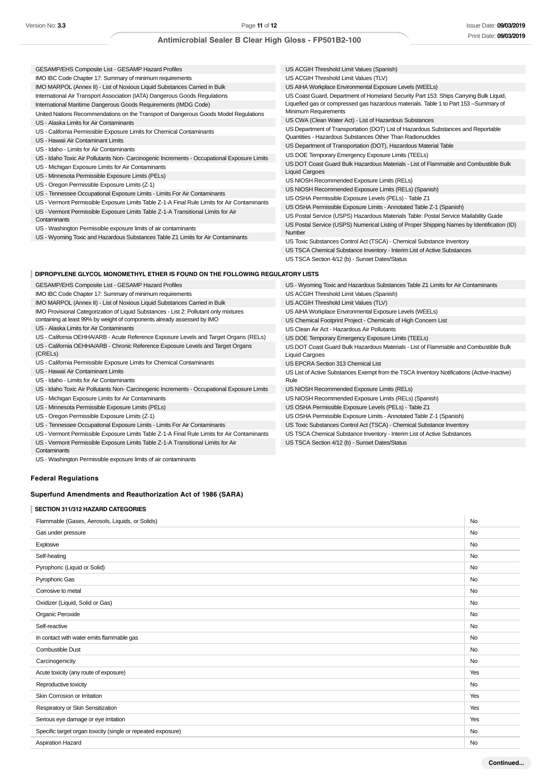| GESAMP/EHS Composite List - GESAMP Hazard Profiles                                          | US ACGIH Threshold Limit Values (Spanish)                                                                                                                                          |  |
|---------------------------------------------------------------------------------------------|------------------------------------------------------------------------------------------------------------------------------------------------------------------------------------|--|
| IMO IBC Code Chapter 17: Summary of minimum requirements                                    | US ACGIH Threshold Limit Values (TLV)                                                                                                                                              |  |
| IMO MARPOL (Annex II) - List of Noxious Liquid Substances Carried in Bulk                   | US AIHA Workplace Environmental Exposure Levels (WEELs)                                                                                                                            |  |
| International Air Transport Association (IATA) Dangerous Goods Regulations                  | US Coast Guard, Department of Homeland Security Part 153: Ships Carrying Bulk Liquid,                                                                                              |  |
| International Maritime Dangerous Goods Requirements (IMDG Code)                             | Liquefied gas or compressed gas hazardous materials. Table 1 to Part 153 --Summary of                                                                                              |  |
| United Nations Recommendations on the Transport of Dangerous Goods Model Regulations        | Minimum Requirements                                                                                                                                                               |  |
| US - Alaska Limits for Air Contaminants                                                     | US CWA (Clean Water Act) - List of Hazardous Substances                                                                                                                            |  |
| US - California Permissible Exposure Limits for Chemical Contaminants                       | US Department of Transportation (DOT) List of Hazardous Substances and Reportable                                                                                                  |  |
| US - Hawaii Air Contaminant Limits                                                          | Quantities - Hazardous Substances Other Than Radionuclides                                                                                                                         |  |
| US - Idaho - Limits for Air Contaminants                                                    | US Department of Transportation (DOT), Hazardous Material Table                                                                                                                    |  |
| US - Idaho Toxic Air Pollutants Non- Carcinogenic Increments - Occupational Exposure Limits | US DOE Temporary Emergency Exposure Limits (TEELs)                                                                                                                                 |  |
| US - Michigan Exposure Limits for Air Contaminants                                          | US DOT Coast Guard Bulk Hazardous Materials - List of Flammable and Combustible Bulk                                                                                               |  |
| US - Minnesota Permissible Exposure Limits (PELs)                                           | <b>Liquid Cargoes</b>                                                                                                                                                              |  |
| US - Oregon Permissible Exposure Limits (Z-1)                                               | US NIOSH Recommended Exposure Limits (RELs)                                                                                                                                        |  |
| US - Tennessee Occupational Exposure Limits - Limits For Air Contaminants                   | US NIOSH Recommended Exposure Limits (RELs) (Spanish)                                                                                                                              |  |
| US - Vermont Permissible Exposure Limits Table Z-1-A Final Rule Limits for Air Contaminants | US OSHA Permissible Exposure Levels (PELs) - Table Z1                                                                                                                              |  |
| US - Vermont Permissible Exposure Limits Table Z-1-A Transitional Limits for Air            | US OSHA Permissible Exposure Limits - Annotated Table Z-1 (Spanish)                                                                                                                |  |
| Contaminants                                                                                | US Postal Service (USPS) Hazardous Materials Table: Postal Service Mailability Guide<br>US Postal Service (USPS) Numerical Listing of Proper Shipping Names by Identification (ID) |  |
| US - Washington Permissible exposure limits of air contaminants                             | Number                                                                                                                                                                             |  |
| US - Wyoming Toxic and Hazardous Substances Table Z1 Limits for Air Contaminants            | US Toxic Substances Control Act (TSCA) - Chemical Substance Inventory                                                                                                              |  |
|                                                                                             | US TSCA Chemical Substance Inventory - Interim List of Active Substances                                                                                                           |  |
|                                                                                             | US TSCA Section 4/12 (b) - Sunset Dates/Status                                                                                                                                     |  |
|                                                                                             |                                                                                                                                                                                    |  |
| DIPROPYLENE GLYCOL MONOMETHYL ETHER IS FOUND ON THE FOLLOWING REGULATORY LISTS              |                                                                                                                                                                                    |  |
| GESAMP/EHS Composite List - GESAMP Hazard Profiles                                          | US - Wyoming Toxic and Hazardous Substances Table Z1 Limits for Air Contaminants                                                                                                   |  |
| IMO IBC Code Chapter 17: Summary of minimum requirements                                    | US ACGIH Threshold Limit Values (Spanish)                                                                                                                                          |  |
| IMO MARPOL (Annex II) - List of Noxious Liquid Substances Carried in Bulk                   | US ACGIH Threshold Limit Values (TLV)                                                                                                                                              |  |
| IMO Provisional Categorization of Liquid Substances - List 2: Pollutant only mixtures       | US AIHA Workplace Environmental Exposure Levels (WEELs)                                                                                                                            |  |
| containing at least 99% by weight of components already assessed by IMO                     | US Chemical Footprint Project - Chemicals of High Concern List                                                                                                                     |  |
| US - Alaska Limits for Air Contaminants                                                     | US Clean Air Act - Hazardous Air Pollutants                                                                                                                                        |  |
| US - California OEHHA/ARB - Acute Reference Exposure Levels and Target Organs (RELs)        | US DOE Temporary Emergency Exposure Limits (TEELs)                                                                                                                                 |  |
| US - California OEHHA/ARB - Chronic Reference Exposure Levels and Target Organs             | US DOT Coast Guard Bulk Hazardous Materials - List of Flammable and Combustible Bulk                                                                                               |  |
| (CRELs)                                                                                     | <b>Liquid Cargoes</b>                                                                                                                                                              |  |
| US - California Permissible Exposure Limits for Chemical Contaminants                       | US EPCRA Section 313 Chemical List                                                                                                                                                 |  |
| US - Hawaii Air Contaminant Limits                                                          | US List of Active Substances Exempt from the TSCA Inventory Notifications (Active-Inactive)                                                                                        |  |
| US - Idaho - Limits for Air Contaminants                                                    | Rule                                                                                                                                                                               |  |
| US - Idaho Toxic Air Pollutants Non- Carcinogenic Increments - Occupational Exposure Limits | US NIOSH Recommended Exposure Limits (RELs)                                                                                                                                        |  |
| US - Michigan Exposure Limits for Air Contaminants                                          | US NIOSH Recommended Exposure Limits (RELs) (Spanish)                                                                                                                              |  |
| US - Minnesota Permissible Exposure Limits (PELs)                                           | US OSHA Permissible Exposure Levels (PELs) - Table Z1                                                                                                                              |  |
| US - Oregon Permissible Exposure Limits (Z-1)                                               | US OSHA Permissible Exposure Limits - Annotated Table Z-1 (Spanish)                                                                                                                |  |
| US - Tennessee Occupational Exposure Limits - Limits For Air Contaminants                   | US Toxic Substances Control Act (TSCA) - Chemical Substance Inventory                                                                                                              |  |

US TSCA Chemical Substance Inventory - Interim List of Active Substances

US TSCA Section 4/12 (b) - Sunset Dates/Status

US - Vermont Permissible Exposure Limits Table Z-1-A Final Rule Limits for Air Contaminants

US - Vermont Permissible Exposure Limits Table Z-1-A Transitional Limits for Air Contaminants

US - Washington Permissible exposure limits of air contaminants

## **Federal Regulations**

## **Superfund Amendments and Reauthorization Act of 1986 (SARA)**

#### **SECTION 311/312 HAZARD CATEGORIES**

| Flammable (Gases, Aerosols, Liquids, or Solids)              |           |
|--------------------------------------------------------------|-----------|
| Gas under pressure                                           | No        |
| Explosive                                                    | No        |
| Self-heating                                                 | No        |
| Pyrophoric (Liquid or Solid)                                 | No        |
| Pyrophoric Gas                                               | No        |
| Corrosive to metal                                           | No        |
| Oxidizer (Liquid, Solid or Gas)                              | <b>No</b> |
| Organic Peroxide                                             | <b>No</b> |
| Self-reactive                                                | No        |
| In contact with water emits flammable gas                    | No        |
| Combustible Dust                                             | <b>No</b> |
| Carcinogenicity                                              | No        |
| Acute toxicity (any route of exposure)                       | Yes       |
| Reproductive toxicity                                        | No        |
| Skin Corrosion or Irritation                                 | Yes       |
| Respiratory or Skin Sensitization                            | Yes       |
| Serious eye damage or eye irritation                         | Yes       |
| Specific target organ toxicity (single or repeated exposure) | <b>No</b> |
| Aspiration Hazard                                            | <b>No</b> |